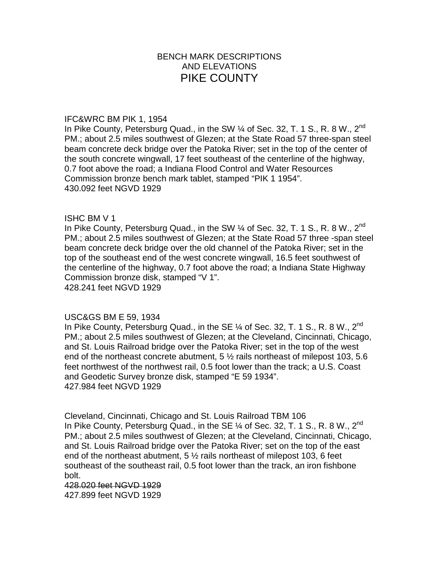# BENCH MARK DESCRIPTIONS AND ELEVATIONS PIKE COUNTY

#### IFC&WRC BM PIK 1, 1954

In Pike County, Petersburg Quad., in the SW  $\%$  of Sec. 32, T. 1 S., R. 8 W., 2<sup>nd</sup> PM.; about 2.5 miles southwest of Glezen; at the State Road 57 three-span steel beam concrete deck bridge over the Patoka River; set in the top of the center of the south concrete wingwall, 17 feet southeast of the centerline of the highway, 0.7 foot above the road; a Indiana Flood Control and Water Resources Commission bronze bench mark tablet, stamped "PIK 1 1954". 430.092 feet NGVD 1929

## ISHC BM V 1

In Pike County, Petersburg Quad., in the SW  $\%$  of Sec. 32, T. 1 S., R. 8 W., 2<sup>nd</sup> PM.; about 2.5 miles southwest of Glezen; at the State Road 57 three -span steel beam concrete deck bridge over the old channel of the Patoka River; set in the top of the southeast end of the west concrete wingwall, 16.5 feet southwest of the centerline of the highway, 0.7 foot above the road; a Indiana State Highway Commission bronze disk, stamped "V 1". 428.241 feet NGVD 1929

## USC&GS BM E 59, 1934

In Pike County, Petersburg Quad., in the SE  $\%$  of Sec. 32, T. 1 S., R. 8 W., 2<sup>nd</sup> PM.; about 2.5 miles southwest of Glezen; at the Cleveland, Cincinnati, Chicago, and St. Louis Railroad bridge over the Patoka River; set in the top of the west end of the northeast concrete abutment, 5  $\frac{1}{2}$  rails northeast of milepost 103, 5.6 feet northwest of the northwest rail, 0.5 foot lower than the track; a U.S. Coast and Geodetic Survey bronze disk, stamped "E 59 1934". 427.984 feet NGVD 1929

Cleveland, Cincinnati, Chicago and St. Louis Railroad TBM 106 In Pike County, Petersburg Quad., in the SE  $\%$  of Sec. 32, T. 1 S., R. 8 W., 2<sup>nd</sup> PM.; about 2.5 miles southwest of Glezen; at the Cleveland, Cincinnati, Chicago, and St. Louis Railroad bridge over the Patoka River; set on the top of the east end of the northeast abutment,  $5\frac{1}{2}$  rails northeast of milepost 103, 6 feet southeast of the southeast rail, 0.5 foot lower than the track, an iron fishbone bolt.

428.020 feet NGVD 1929 427.899 feet NGVD 1929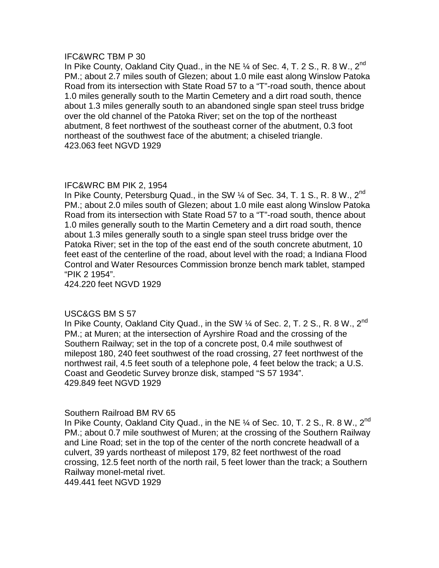In Pike County, Oakland City Quad., in the NE  $\%$  of Sec. 4, T. 2 S., R. 8 W., 2<sup>nd</sup> PM.; about 2.7 miles south of Glezen; about 1.0 mile east along Winslow Patoka Road from its intersection with State Road 57 to a "T"-road south, thence about 1.0 miles generally south to the Martin Cemetery and a dirt road south, thence about 1.3 miles generally south to an abandoned single span steel truss bridge over the old channel of the Patoka River; set on the top of the northeast abutment, 8 feet northwest of the southeast corner of the abutment, 0.3 foot northeast of the southwest face of the abutment; a chiseled triangle. 423.063 feet NGVD 1929

## IFC&WRC BM PIK 2, 1954

In Pike County, Petersburg Quad., in the SW  $\%$  of Sec. 34, T. 1 S., R. 8 W., 2<sup>nd</sup> PM.; about 2.0 miles south of Glezen; about 1.0 mile east along Winslow Patoka Road from its intersection with State Road 57 to a "T"-road south, thence about 1.0 miles generally south to the Martin Cemetery and a dirt road south, thence about 1.3 miles generally south to a single span steel truss bridge over the Patoka River; set in the top of the east end of the south concrete abutment, 10 feet east of the centerline of the road, about level with the road; a Indiana Flood Control and Water Resources Commission bronze bench mark tablet, stamped "PIK 2 1954".

424.220 feet NGVD 1929

## USC&GS BM S 57

In Pike County, Oakland City Quad., in the SW  $\%$  of Sec. 2, T. 2 S., R. 8 W., 2<sup>nd</sup> PM.; at Muren; at the intersection of Ayrshire Road and the crossing of the Southern Railway; set in the top of a concrete post, 0.4 mile southwest of milepost 180, 240 feet southwest of the road crossing, 27 feet northwest of the northwest rail, 4.5 feet south of a telephone pole, 4 feet below the track; a U.S. Coast and Geodetic Survey bronze disk, stamped "S 57 1934". 429.849 feet NGVD 1929

## Southern Railroad BM RV 65

In Pike County, Oakland City Quad., in the NE  $\%$  of Sec. 10, T. 2 S., R. 8 W., 2<sup>nd</sup> PM.; about 0.7 mile southwest of Muren; at the crossing of the Southern Railway and Line Road; set in the top of the center of the north concrete headwall of a culvert, 39 yards northeast of milepost 179, 82 feet northwest of the road crossing, 12.5 feet north of the north rail, 5 feet lower than the track; a Southern Railway monel-metal rivet. 449.441 feet NGVD 1929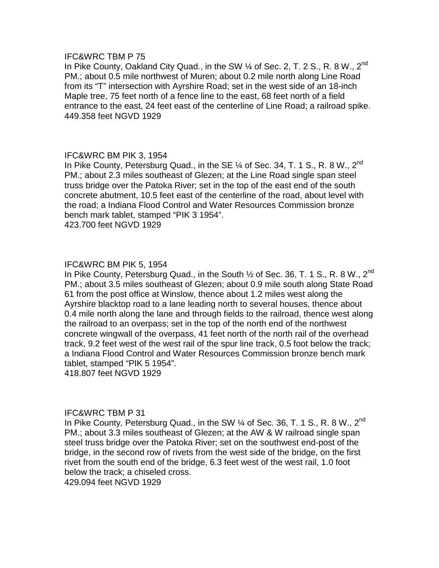In Pike County, Oakland City Quad., in the SW 1/4 of Sec. 2, T. 2 S., R. 8 W., 2<sup>nd</sup> PM.; about 0.5 mile northwest of Muren; about 0.2 mile north along Line Road from its "T" intersection with Ayrshire Road; set in the west side of an 18-inch Maple tree, 75 feet north of a fence line to the east, 68 feet north of a field entrance to the east, 24 feet east of the centerline of Line Road; a railroad spike. 449.358 feet NGVD 1929

## IFC&WRC BM PIK 3, 1954

In Pike County, Petersburg Quad., in the SE  $\%$  of Sec. 34, T. 1 S., R. 8 W., 2<sup>nd</sup> PM.; about 2.3 miles southeast of Glezen; at the Line Road single span steel truss bridge over the Patoka River; set in the top of the east end of the south concrete abutment, 10.5 feet east of the centerline of the road, about level with the road; a Indiana Flood Control and Water Resources Commission bronze bench mark tablet, stamped "PIK 3 1954".

423.700 feet NGVD 1929

## IFC&WRC BM PIK 5, 1954

In Pike County, Petersburg Quad., in the South  $\frac{1}{2}$  of Sec. 36, T. 1 S., R. 8 W., 2<sup>nd</sup> PM.; about 3.5 miles southeast of Glezen; about 0.9 mile south along State Road 61 from the post office at Winslow, thence about 1.2 miles west along the Ayrshire blacktop road to a lane leading north to several houses, thence about 0.4 mile north along the lane and through fields to the railroad, thence west along the railroad to an overpass; set in the top of the north end of the northwest concrete wingwall of the overpass, 41 feet north of the north rail of the overhead track, 9.2 feet west of the west rail of the spur line track, 0.5 foot below the track; a Indiana Flood Control and Water Resources Commission bronze bench mark tablet, stamped "PIK 5 1954".

418.807 feet NGVD 1929

## IFC&WRC TBM P 31

In Pike County, Petersburg Quad., in the SW  $\%$  of Sec. 36, T. 1 S., R. 8 W., 2<sup>nd</sup> PM.; about 3.3 miles southeast of Glezen; at the AW & W railroad single span steel truss bridge over the Patoka River; set on the southwest end-post of the bridge, in the second row of rivets from the west side of the bridge, on the first rivet from the south end of the bridge, 6.3 feet west of the west rail, 1.0 foot below the track; a chiseled cross. 429.094 feet NGVD 1929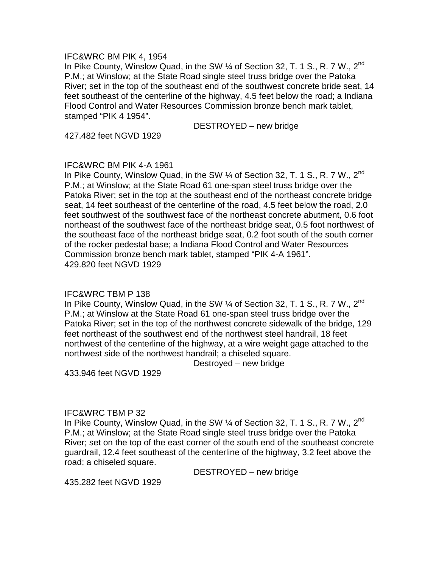#### IFC&WRC BM PIK 4, 1954

In Pike County, Winslow Quad, in the SW 1/4 of Section 32, T. 1 S., R. 7 W., 2<sup>nd</sup> P.M.; at Winslow; at the State Road single steel truss bridge over the Patoka River; set in the top of the southeast end of the southwest concrete bride seat, 14 feet southeast of the centerline of the highway, 4.5 feet below the road; a Indiana Flood Control and Water Resources Commission bronze bench mark tablet, stamped "PIK 4 1954".

DESTROYED – new bridge

427.482 feet NGVD 1929

## IFC&WRC BM PIK 4-A 1961

In Pike County, Winslow Quad, in the SW 1/4 of Section 32, T. 1 S., R. 7 W., 2<sup>nd</sup> P.M.; at Winslow; at the State Road 61 one-span steel truss bridge over the Patoka River; set in the top at the southeast end of the northeast concrete bridge seat, 14 feet southeast of the centerline of the road, 4.5 feet below the road, 2.0 feet southwest of the southwest face of the northeast concrete abutment, 0.6 foot northeast of the southwest face of the northeast bridge seat, 0.5 foot northwest of the southeast face of the northeast bridge seat, 0.2 foot south of the south corner of the rocker pedestal base; a Indiana Flood Control and Water Resources Commission bronze bench mark tablet, stamped "PIK 4-A 1961". 429.820 feet NGVD 1929

## IFC&WRC TBM P 138

In Pike County, Winslow Quad, in the SW 1/4 of Section 32, T. 1 S., R. 7 W., 2<sup>nd</sup> P.M.; at Winslow at the State Road 61 one-span steel truss bridge over the Patoka River; set in the top of the northwest concrete sidewalk of the bridge, 129 feet northeast of the southwest end of the northwest steel handrail, 18 feet northwest of the centerline of the highway, at a wire weight gage attached to the northwest side of the northwest handrail; a chiseled square.

Destroyed – new bridge

433.946 feet NGVD 1929

## IFC&WRC TBM P 32

In Pike County, Winslow Quad, in the SW 1/4 of Section 32, T. 1 S., R. 7 W., 2<sup>nd</sup> P.M.; at Winslow; at the State Road single steel truss bridge over the Patoka River; set on the top of the east corner of the south end of the southeast concrete guardrail, 12.4 feet southeast of the centerline of the highway, 3.2 feet above the road; a chiseled square.

DESTROYED – new bridge

435.282 feet NGVD 1929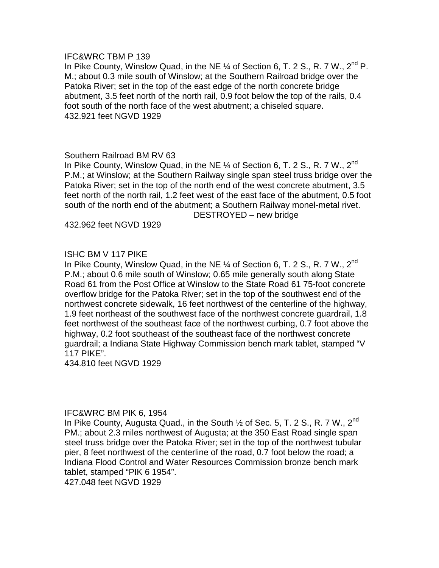In Pike County, Winslow Quad, in the NE  $\frac{1}{4}$  of Section 6, T. 2 S., R. 7 W., 2<sup>nd</sup> P. M.; about 0.3 mile south of Winslow; at the Southern Railroad bridge over the Patoka River; set in the top of the east edge of the north concrete bridge abutment, 3.5 feet north of the north rail, 0.9 foot below the top of the rails, 0.4 foot south of the north face of the west abutment; a chiseled square. 432.921 feet NGVD 1929

## Southern Railroad BM RV 63

In Pike County, Winslow Quad, in the NE 1/4 of Section 6, T. 2 S., R. 7 W., 2<sup>nd</sup> P.M.; at Winslow; at the Southern Railway single span steel truss bridge over the Patoka River; set in the top of the north end of the west concrete abutment, 3.5 feet north of the north rail, 1.2 feet west of the east face of the abutment, 0.5 foot south of the north end of the abutment; a Southern Railway monel-metal rivet. DESTROYED – new bridge

432.962 feet NGVD 1929

# ISHC BM V 117 PIKE

In Pike County, Winslow Quad, in the NE 1/4 of Section 6, T. 2 S., R. 7 W., 2<sup>nd</sup> P.M.; about 0.6 mile south of Winslow; 0.65 mile generally south along State Road 61 from the Post Office at Winslow to the State Road 61 75-foot concrete overflow bridge for the Patoka River; set in the top of the southwest end of the northwest concrete sidewalk, 16 feet northwest of the centerline of the highway, 1.9 feet northeast of the southwest face of the northwest concrete guardrail, 1.8 feet northwest of the southeast face of the northwest curbing, 0.7 foot above the highway, 0.2 foot southeast of the southeast face of the northwest concrete guardrail; a Indiana State Highway Commission bench mark tablet, stamped "V 117 PIKE".

434.810 feet NGVD 1929

## IFC&WRC BM PIK 6, 1954

In Pike County, Augusta Quad., in the South  $\frac{1}{2}$  of Sec. 5, T. 2 S., R. 7 W., 2<sup>nd</sup> PM.; about 2.3 miles northwest of Augusta; at the 350 East Road single span steel truss bridge over the Patoka River; set in the top of the northwest tubular pier, 8 feet northwest of the centerline of the road, 0.7 foot below the road; a Indiana Flood Control and Water Resources Commission bronze bench mark tablet, stamped "PIK 6 1954". 427.048 feet NGVD 1929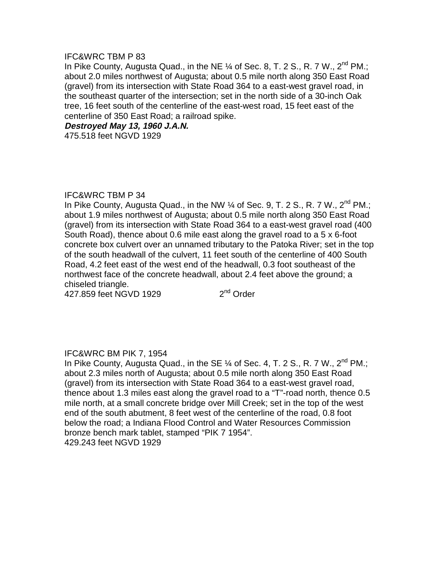In Pike County, Augusta Quad., in the NE  $\%$  of Sec. 8, T. 2 S., R. 7 W., 2<sup>nd</sup> PM.; about 2.0 miles northwest of Augusta; about 0.5 mile north along 350 East Road (gravel) from its intersection with State Road 364 to a east-west gravel road, in the southeast quarter of the intersection; set in the north side of a 30-inch Oak tree, 16 feet south of the centerline of the east-west road, 15 feet east of the centerline of 350 East Road; a railroad spike.

**Destroyed May 13, 1960 J.A.N.** 

475.518 feet NGVD 1929

## IFC&WRC TBM P 34

In Pike County, Augusta Quad., in the NW 1/4 of Sec. 9, T. 2 S., R. 7 W., 2<sup>nd</sup> PM.; about 1.9 miles northwest of Augusta; about 0.5 mile north along 350 East Road (gravel) from its intersection with State Road 364 to a east-west gravel road (400 South Road), thence about 0.6 mile east along the gravel road to a 5 x 6-foot concrete box culvert over an unnamed tributary to the Patoka River; set in the top of the south headwall of the culvert, 11 feet south of the centerline of 400 South Road, 4.2 feet east of the west end of the headwall, 0.3 foot southeast of the northwest face of the concrete headwall, about 2.4 feet above the ground; a chiseled triangle.

 $427.859$  feet NGVD 1929  $2<sup>nd</sup>$  Order

## IFC&WRC BM PIK 7, 1954

In Pike County, Augusta Quad., in the SE  $\%$  of Sec. 4, T. 2 S., R. 7 W., 2<sup>nd</sup> PM.; about 2.3 miles north of Augusta; about 0.5 mile north along 350 East Road (gravel) from its intersection with State Road 364 to a east-west gravel road, thence about 1.3 miles east along the gravel road to a "T"-road north, thence 0.5 mile north, at a small concrete bridge over Mill Creek; set in the top of the west end of the south abutment, 8 feet west of the centerline of the road, 0.8 foot below the road; a Indiana Flood Control and Water Resources Commission bronze bench mark tablet, stamped "PIK 7 1954". 429.243 feet NGVD 1929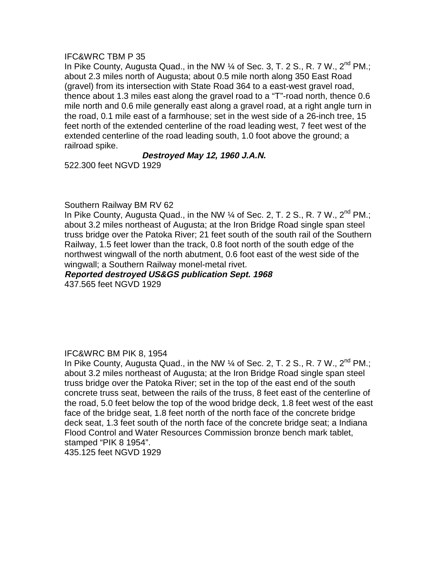In Pike County, Augusta Quad., in the NW  $\%$  of Sec. 3, T. 2 S., R. 7 W., 2<sup>nd</sup> PM.; about 2.3 miles north of Augusta; about 0.5 mile north along 350 East Road (gravel) from its intersection with State Road 364 to a east-west gravel road, thence about 1.3 miles east along the gravel road to a "T"-road north, thence 0.6 mile north and 0.6 mile generally east along a gravel road, at a right angle turn in the road, 0.1 mile east of a farmhouse; set in the west side of a 26-inch tree, 15 feet north of the extended centerline of the road leading west, 7 feet west of the extended centerline of the road leading south, 1.0 foot above the ground; a railroad spike.

# **Destroyed May 12, 1960 J.A.N.**

522.300 feet NGVD 1929

## Southern Railway BM RV 62

In Pike County, Augusta Quad., in the NW 1/4 of Sec. 2, T. 2 S., R. 7 W., 2<sup>nd</sup> PM.: about 3.2 miles northeast of Augusta; at the Iron Bridge Road single span steel truss bridge over the Patoka River; 21 feet south of the south rail of the Southern Railway, 1.5 feet lower than the track, 0.8 foot north of the south edge of the northwest wingwall of the north abutment, 0.6 foot east of the west side of the wingwall; a Southern Railway monel-metal rivet.

# **Reported destroyed US&GS publication Sept. 1968**

437.565 feet NGVD 1929

## IFC&WRC BM PIK 8, 1954

In Pike County, Augusta Quad., in the NW 1/4 of Sec. 2, T. 2 S., R. 7 W., 2<sup>nd</sup> PM.; about 3.2 miles northeast of Augusta; at the Iron Bridge Road single span steel truss bridge over the Patoka River; set in the top of the east end of the south concrete truss seat, between the rails of the truss, 8 feet east of the centerline of the road, 5.0 feet below the top of the wood bridge deck, 1.8 feet west of the east face of the bridge seat, 1.8 feet north of the north face of the concrete bridge deck seat, 1.3 feet south of the north face of the concrete bridge seat; a Indiana Flood Control and Water Resources Commission bronze bench mark tablet, stamped "PIK 8 1954".

435.125 feet NGVD 1929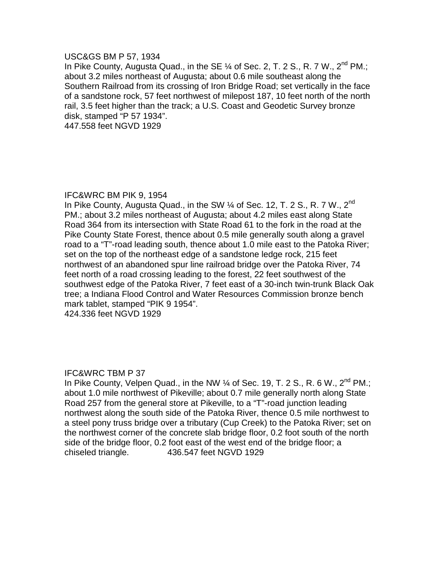#### USC&GS BM P 57, 1934

In Pike County, Augusta Quad., in the SE  $\%$  of Sec. 2, T. 2 S., R. 7 W., 2<sup>nd</sup> PM.; about 3.2 miles northeast of Augusta; about 0.6 mile southeast along the Southern Railroad from its crossing of Iron Bridge Road; set vertically in the face of a sandstone rock, 57 feet northwest of milepost 187, 10 feet north of the north rail, 3.5 feet higher than the track; a U.S. Coast and Geodetic Survey bronze disk, stamped "P 57 1934".

447.558 feet NGVD 1929

## IFC&WRC BM PIK 9, 1954

In Pike County, Augusta Quad., in the SW  $\%$  of Sec. 12, T. 2 S., R. 7 W., 2<sup>nd</sup> PM.; about 3.2 miles northeast of Augusta; about 4.2 miles east along State Road 364 from its intersection with State Road 61 to the fork in the road at the Pike County State Forest, thence about 0.5 mile generally south along a gravel road to a "T"-road leading south, thence about 1.0 mile east to the Patoka River; set on the top of the northeast edge of a sandstone ledge rock, 215 feet northwest of an abandoned spur line railroad bridge over the Patoka River, 74 feet north of a road crossing leading to the forest, 22 feet southwest of the southwest edge of the Patoka River, 7 feet east of a 30-inch twin-trunk Black Oak tree; a Indiana Flood Control and Water Resources Commission bronze bench mark tablet, stamped "PIK 9 1954".

424.336 feet NGVD 1929

## IFC&WRC TBM P 37

In Pike County, Velpen Quad., in the NW  $\%$  of Sec. 19, T. 2 S., R. 6 W.,  $2^{nd}$  PM.: about 1.0 mile northwest of Pikeville; about 0.7 mile generally north along State Road 257 from the general store at Pikeville, to a "T"-road junction leading northwest along the south side of the Patoka River, thence 0.5 mile northwest to a steel pony truss bridge over a tributary (Cup Creek) to the Patoka River; set on the northwest corner of the concrete slab bridge floor, 0.2 foot south of the north side of the bridge floor, 0.2 foot east of the west end of the bridge floor; a chiseled triangle. 436.547 feet NGVD 1929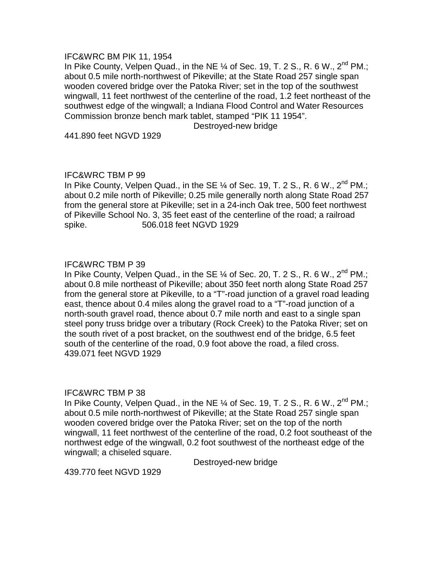#### IFC&WRC BM PIK 11, 1954

In Pike County, Velpen Quad., in the NE  $\%$  of Sec. 19, T. 2 S., R. 6 W., 2<sup>nd</sup> PM.; about 0.5 mile north-northwest of Pikeville; at the State Road 257 single span wooden covered bridge over the Patoka River; set in the top of the southwest wingwall, 11 feet northwest of the centerline of the road, 1.2 feet northeast of the southwest edge of the wingwall; a Indiana Flood Control and Water Resources Commission bronze bench mark tablet, stamped "PIK 11 1954".

Destroyed-new bridge

441.890 feet NGVD 1929

## IFC&WRC TBM P 99

In Pike County, Velpen Quad., in the SE  $\%$  of Sec. 19, T. 2 S., R. 6 W., 2<sup>nd</sup> PM.; about 0.2 mile north of Pikeville; 0.25 mile generally north along State Road 257 from the general store at Pikeville; set in a 24-inch Oak tree, 500 feet northwest of Pikeville School No. 3, 35 feet east of the centerline of the road; a railroad spike. 506.018 feet NGVD 1929

## IFC&WRC TBM P 39

In Pike County, Velpen Quad., in the SE  $\%$  of Sec. 20, T. 2 S., R. 6 W., 2<sup>nd</sup> PM.; about 0.8 mile northeast of Pikeville; about 350 feet north along State Road 257 from the general store at Pikeville, to a "T"-road junction of a gravel road leading east, thence about 0.4 miles along the gravel road to a "T"-road junction of a north-south gravel road, thence about 0.7 mile north and east to a single span steel pony truss bridge over a tributary (Rock Creek) to the Patoka River; set on the south rivet of a post bracket, on the southwest end of the bridge, 6.5 feet south of the centerline of the road, 0.9 foot above the road, a filed cross. 439.071 feet NGVD 1929

## IFC&WRC TBM P 38

In Pike County, Velpen Quad., in the NE  $\%$  of Sec. 19, T. 2 S., R. 6 W., 2<sup>nd</sup> PM.; about 0.5 mile north-northwest of Pikeville; at the State Road 257 single span wooden covered bridge over the Patoka River; set on the top of the north wingwall, 11 feet northwest of the centerline of the road, 0.2 foot southeast of the northwest edge of the wingwall, 0.2 foot southwest of the northeast edge of the wingwall; a chiseled square.

Destroyed-new bridge

439.770 feet NGVD 1929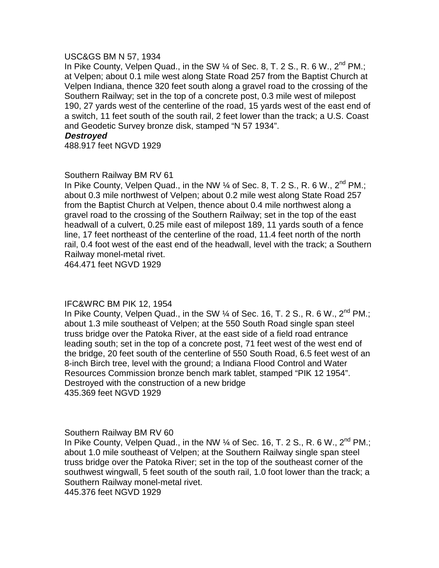#### USC&GS BM N 57, 1934

In Pike County, Velpen Quad., in the SW  $\%$  of Sec. 8, T. 2 S., R. 6 W., 2<sup>nd</sup> PM.; at Velpen; about 0.1 mile west along State Road 257 from the Baptist Church at Velpen Indiana, thence 320 feet south along a gravel road to the crossing of the Southern Railway; set in the top of a concrete post, 0.3 mile west of milepost 190, 27 yards west of the centerline of the road, 15 yards west of the east end of a switch, 11 feet south of the south rail, 2 feet lower than the track; a U.S. Coast and Geodetic Survey bronze disk, stamped "N 57 1934".

#### **Destroyed**

488.917 feet NGVD 1929

## Southern Railway BM RV 61

In Pike County, Velpen Quad., in the NW  $\%$  of Sec. 8, T. 2 S., R. 6 W., 2<sup>nd</sup> PM.; about 0.3 mile northwest of Velpen; about 0.2 mile west along State Road 257 from the Baptist Church at Velpen, thence about 0.4 mile northwest along a gravel road to the crossing of the Southern Railway; set in the top of the east headwall of a culvert, 0.25 mile east of milepost 189, 11 yards south of a fence line, 17 feet northeast of the centerline of the road, 11.4 feet north of the north rail, 0.4 foot west of the east end of the headwall, level with the track; a Southern Railway monel-metal rivet.

464.471 feet NGVD 1929

## IFC&WRC BM PIK 12, 1954

In Pike County, Velpen Quad., in the SW  $\%$  of Sec. 16, T. 2 S., R. 6 W., 2<sup>nd</sup> PM.; about 1.3 mile southeast of Velpen; at the 550 South Road single span steel truss bridge over the Patoka River, at the east side of a field road entrance leading south; set in the top of a concrete post, 71 feet west of the west end of the bridge, 20 feet south of the centerline of 550 South Road, 6.5 feet west of an 8-inch Birch tree, level with the ground; a Indiana Flood Control and Water Resources Commission bronze bench mark tablet, stamped "PIK 12 1954". Destroyed with the construction of a new bridge 435.369 feet NGVD 1929

#### Southern Railway BM RV 60

In Pike County, Velpen Quad., in the NW  $\frac{1}{4}$  of Sec. 16, T. 2 S., R. 6 W., 2<sup>nd</sup> PM.; about 1.0 mile southeast of Velpen; at the Southern Railway single span steel truss bridge over the Patoka River; set in the top of the southeast corner of the southwest wingwall, 5 feet south of the south rail, 1.0 foot lower than the track; a Southern Railway monel-metal rivet. 445.376 feet NGVD 1929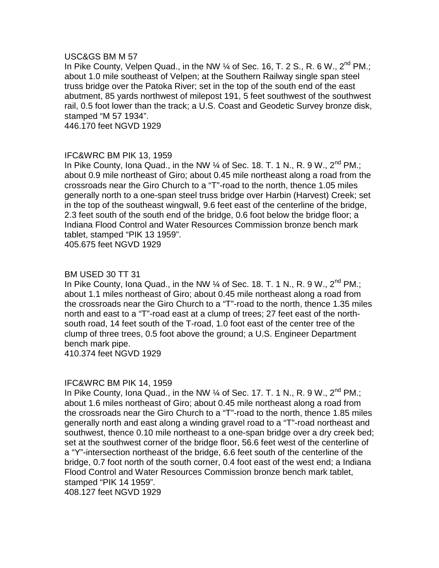#### USC&GS BM M 57

In Pike County, Velpen Quad., in the NW  $\frac{1}{4}$  of Sec. 16, T. 2 S., R. 6 W., 2<sup>nd</sup> PM.; about 1.0 mile southeast of Velpen; at the Southern Railway single span steel truss bridge over the Patoka River; set in the top of the south end of the east abutment, 85 yards northwest of milepost 191, 5 feet southwest of the southwest rail, 0.5 foot lower than the track; a U.S. Coast and Geodetic Survey bronze disk, stamped "M 57 1934".

446.170 feet NGVD 1929

## IFC&WRC BM PIK 13, 1959

In Pike County, Iona Quad., in the NW 1/4 of Sec. 18. T. 1 N., R. 9 W., 2<sup>nd</sup> PM.: about 0.9 mile northeast of Giro; about 0.45 mile northeast along a road from the crossroads near the Giro Church to a "T"-road to the north, thence 1.05 miles generally north to a one-span steel truss bridge over Harbin (Harvest) Creek; set in the top of the southeast wingwall, 9.6 feet east of the centerline of the bridge, 2.3 feet south of the south end of the bridge, 0.6 foot below the bridge floor; a Indiana Flood Control and Water Resources Commission bronze bench mark tablet, stamped "PIK 13 1959".

405.675 feet NGVD 1929

#### BM USED 30 TT 31

In Pike County, Iona Quad., in the NW  $\%$  of Sec. 18. T. 1 N., R. 9 W., 2<sup>nd</sup> PM.; about 1.1 miles northeast of Giro; about 0.45 mile northeast along a road from the crossroads near the Giro Church to a "T"-road to the north, thence 1.35 miles north and east to a "T"-road east at a clump of trees; 27 feet east of the north south road, 14 feet south of the T-road, 1.0 foot east of the center tree of the clump of three trees, 0.5 foot above the ground; a U.S. Engineer Department bench mark pipe.

410.374 feet NGVD 1929

## IFC&WRC BM PIK 14, 1959

In Pike County, Iona Quad., in the NW  $\frac{1}{4}$  of Sec. 17. T. 1 N., R. 9 W., 2<sup>nd</sup> PM.; about 1.6 miles northeast of Giro; about 0.45 mile northeast along a road from the crossroads near the Giro Church to a "T"-road to the north, thence 1.85 miles generally north and east along a winding gravel road to a "T"-road northeast and southwest, thence 0.10 mile northeast to a one-span bridge over a dry creek bed; set at the southwest corner of the bridge floor, 56.6 feet west of the centerline of a "Y"-intersection northeast of the bridge, 6.6 feet south of the centerline of the bridge, 0.7 foot north of the south corner, 0.4 foot east of the west end; a Indiana Flood Control and Water Resources Commission bronze bench mark tablet, stamped "PIK 14 1959".

408.127 feet NGVD 1929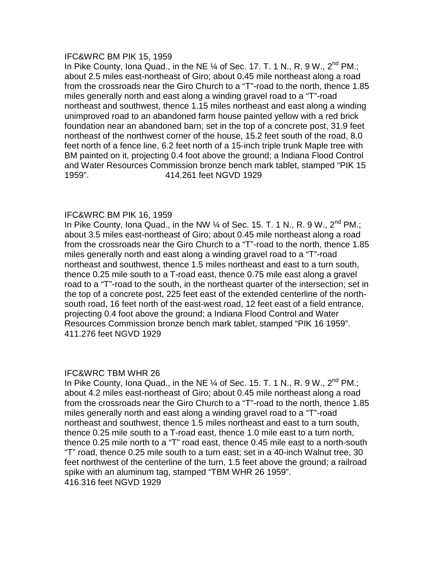#### IFC&WRC BM PIK 15, 1959

In Pike County, Iona Quad., in the NE 1/4 of Sec. 17. T. 1 N., R. 9 W., 2<sup>nd</sup> PM.: about 2.5 miles east-northeast of Giro; about 0.45 mile northeast along a road from the crossroads near the Giro Church to a "T"-road to the north, thence 1.85 miles generally north and east along a winding gravel road to a "T"-road northeast and southwest, thence 1.15 miles northeast and east along a winding unimproved road to an abandoned farm house painted yellow with a red brick foundation near an abandoned barn; set in the top of a concrete post, 31.9 feet northeast of the northwest corner of the house, 15.2 feet south of the road, 8.0 feet north of a fence line, 6.2 feet north of a 15-inch triple trunk Maple tree with BM painted on it, projecting 0.4 foot above the ground; a Indiana Flood Control and Water Resources Commission bronze bench mark tablet, stamped "PIK 15 1959". 414.261 feet NGVD 1929

## IFC&WRC BM PIK 16, 1959

In Pike County, Iona Quad., in the NW  $\frac{1}{4}$  of Sec. 15. T. 1 N., R. 9 W.,  $2^{nd}$  PM.; about 3.5 miles east-northeast of Giro; about 0.45 mile northeast along a road from the crossroads near the Giro Church to a "T"-road to the north, thence 1.85 miles generally north and east along a winding gravel road to a "T"-road northeast and southwest, thence 1.5 miles northeast and east to a turn south, thence 0.25 mile south to a T-road east, thence 0.75 mile east along a gravel road to a "T"-road to the south, in the northeast quarter of the intersection; set in the top of a concrete post, 225 feet east of the extended centerline of the north south road, 16 feet north of the east-west road, 12 feet east of a field entrance, projecting 0.4 foot above the ground; a Indiana Flood Control and Water Resources Commission bronze bench mark tablet, stamped "PIK 16 1959". 411.276 feet NGVD 1929

## IFC&WRC TBM WHR 26

In Pike County, Iona Quad., in the NE  $\frac{1}{4}$  of Sec. 15. T. 1 N., R. 9 W.,  $2^{nd}$  PM.: about 4.2 miles east-northeast of Giro; about 0.45 mile northeast along a road from the crossroads near the Giro Church to a "T"-road to the north, thence 1.85 miles generally north and east along a winding gravel road to a "T"-road northeast and southwest, thence 1.5 miles northeast and east to a turn south, thence 0.25 mile south to a T-road east, thence 1.0 mile east to a turn north, thence 0.25 mile north to a "T" road east, thence 0.45 mile east to a north-south "T" road, thence 0.25 mile south to a turn east; set in a 40-inch Walnut tree, 30 feet northwest of the centerline of the turn, 1.5 feet above the ground; a railroad spike with an aluminum tag, stamped "TBM WHR 26 1959". 416.316 feet NGVD 1929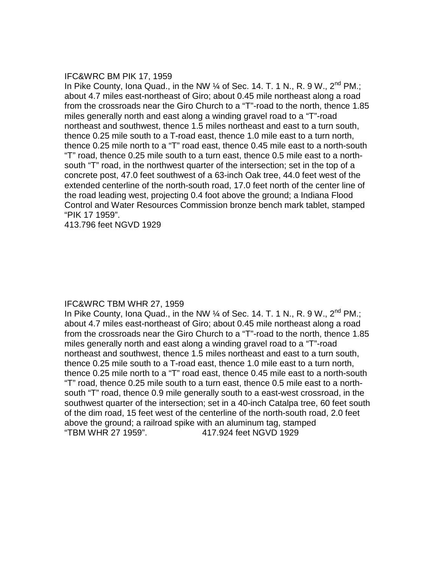#### IFC&WRC BM PIK 17, 1959

In Pike County, Iona Quad., in the NW  $\frac{1}{4}$  of Sec. 14. T. 1 N., R. 9 W., 2<sup>nd</sup> PM.; about 4.7 miles east-northeast of Giro; about 0.45 mile northeast along a road from the crossroads near the Giro Church to a "T"-road to the north, thence 1.85 miles generally north and east along a winding gravel road to a "T"-road northeast and southwest, thence 1.5 miles northeast and east to a turn south, thence 0.25 mile south to a T-road east, thence 1.0 mile east to a turn north, thence 0.25 mile north to a "T" road east, thence 0.45 mile east to a north-south "T" road, thence 0.25 mile south to a turn east, thence 0.5 mile east to a north south "T" road, in the northwest quarter of the intersection; set in the top of a concrete post, 47.0 feet southwest of a 63-inch Oak tree, 44.0 feet west of the extended centerline of the north-south road, 17.0 feet north of the center line of the road leading west, projecting 0.4 foot above the ground; a Indiana Flood Control and Water Resources Commission bronze bench mark tablet, stamped "PIK 17 1959".

413.796 feet NGVD 1929

#### IFC&WRC TBM WHR 27, 1959

In Pike County, Iona Quad., in the NW  $\frac{1}{4}$  of Sec. 14. T. 1 N., R. 9 W., 2<sup>nd</sup> PM.; about 4.7 miles east-northeast of Giro; about 0.45 mile northeast along a road from the crossroads near the Giro Church to a "T"-road to the north, thence 1.85 miles generally north and east along a winding gravel road to a "T"-road northeast and southwest, thence 1.5 miles northeast and east to a turn south, thence 0.25 mile south to a T-road east, thence 1.0 mile east to a turn north, thence 0.25 mile north to a "T" road east, thence 0.45 mile east to a north-south "T" road, thence 0.25 mile south to a turn east, thence 0.5 mile east to a north south "T" road, thence 0.9 mile generally south to a east-west crossroad, in the southwest quarter of the intersection; set in a 40-inch Catalpa tree, 60 feet south of the dim road, 15 feet west of the centerline of the north-south road, 2.0 feet above the ground; a railroad spike with an aluminum tag, stamped "TBM WHR 27 1959". 417.924 feet NGVD 1929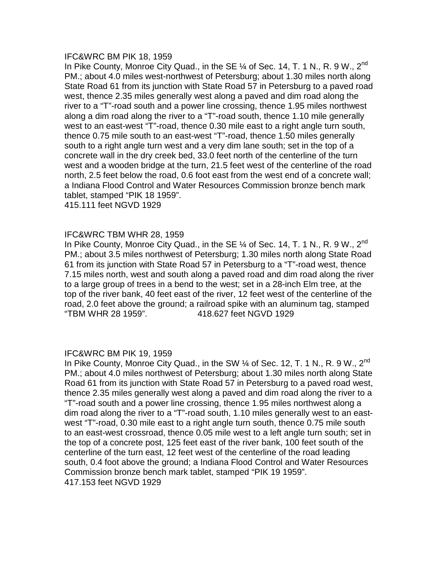#### IFC&WRC BM PIK 18, 1959

In Pike County, Monroe City Quad., in the SE  $\%$  of Sec. 14, T. 1 N., R. 9 W., 2<sup>nd</sup> PM.; about 4.0 miles west-northwest of Petersburg; about 1.30 miles north along State Road 61 from its junction with State Road 57 in Petersburg to a paved road west, thence 2.35 miles generally west along a paved and dim road along the river to a "T"-road south and a power line crossing, thence 1.95 miles northwest along a dim road along the river to a "T"-road south, thence 1.10 mile generally west to an east-west "T"-road, thence 0.30 mile east to a right angle turn south, thence 0.75 mile south to an east-west "T"-road, thence 1.50 miles generally south to a right angle turn west and a very dim lane south; set in the top of a concrete wall in the dry creek bed, 33.0 feet north of the centerline of the turn west and a wooden bridge at the turn, 21.5 feet west of the centerline of the road north, 2.5 feet below the road, 0.6 foot east from the west end of a concrete wall; a Indiana Flood Control and Water Resources Commission bronze bench mark tablet, stamped "PIK 18 1959".

415.111 feet NGVD 1929

## IFC&WRC TBM WHR 28, 1959

In Pike County, Monroe City Quad., in the SE  $\%$  of Sec. 14, T. 1 N., R. 9 W., 2<sup>nd</sup> PM.; about 3.5 miles northwest of Petersburg; 1.30 miles north along State Road 61 from its junction with State Road 57 in Petersburg to a "T"-road west, thence 7.15 miles north, west and south along a paved road and dim road along the river to a large group of trees in a bend to the west; set in a 28-inch Elm tree, at the top of the river bank, 40 feet east of the river, 12 feet west of the centerline of the road, 2.0 feet above the ground; a railroad spike with an aluminum tag, stamped "TBM WHR 28 1959". 418.627 feet NGVD 1929

#### IFC&WRC BM PIK 19, 1959

In Pike County, Monroe City Quad., in the SW 1/4 of Sec. 12, T. 1 N., R. 9 W., 2<sup>nd</sup> PM.; about 4.0 miles northwest of Petersburg; about 1.30 miles north along State Road 61 from its junction with State Road 57 in Petersburg to a paved road west, thence 2.35 miles generally west along a paved and dim road along the river to a "T"-road south and a power line crossing, thence 1.95 miles northwest along a dim road along the river to a "T"-road south, 1.10 miles generally west to an east west "T"-road, 0.30 mile east to a right angle turn south, thence 0.75 mile south to an east-west crossroad, thence 0.05 mile west to a left angle turn south; set in the top of a concrete post, 125 feet east of the river bank, 100 feet south of the centerline of the turn east, 12 feet west of the centerline of the road leading south, 0.4 foot above the ground; a Indiana Flood Control and Water Resources Commission bronze bench mark tablet, stamped "PIK 19 1959". 417.153 feet NGVD 1929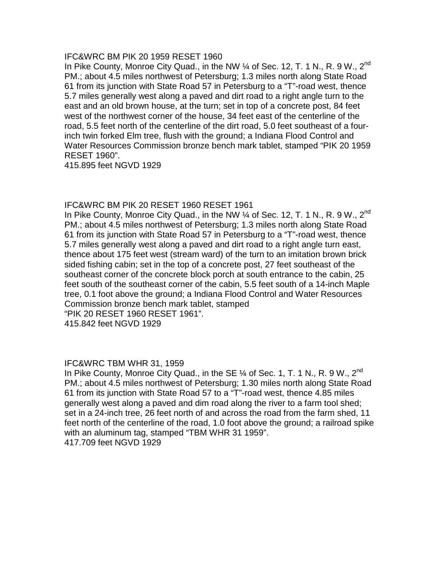#### IFC&WRC BM PIK 20 1959 RESET 1960

In Pike County, Monroe City Quad., in the NW  $\%$  of Sec. 12, T. 1 N., R. 9 W., 2<sup>nd</sup> PM.; about 4.5 miles northwest of Petersburg; 1.3 miles north along State Road 61 from its junction with State Road 57 in Petersburg to a "T"-road west, thence 5.7 miles generally west along a paved and dirt road to a right angle turn to the east and an old brown house, at the turn; set in top of a concrete post, 84 feet west of the northwest corner of the house, 34 feet east of the centerline of the road, 5.5 feet north of the centerline of the dirt road, 5.0 feet southeast of a four inch twin forked Elm tree, flush with the ground; a Indiana Flood Control and Water Resources Commission bronze bench mark tablet, stamped "PIK 20 1959 RESET 1960".

415.895 feet NGVD 1929

## IFC&WRC BM PIK 20 RESET 1960 RESET 1961

In Pike County, Monroe City Quad., in the NW 1/4 of Sec. 12, T. 1 N., R. 9 W., 2<sup>nd</sup> PM.; about 4.5 miles northwest of Petersburg; 1.3 miles north along State Road 61 from its junction with State Road 57 in Petersburg to a "T"-road west, thence 5.7 miles generally west along a paved and dirt road to a right angle turn east, thence about 175 feet west (stream ward) of the turn to an imitation brown brick sided fishing cabin; set in the top of a concrete post, 27 feet southeast of the southeast corner of the concrete block porch at south entrance to the cabin, 25 feet south of the southeast corner of the cabin, 5.5 feet south of a 14-inch Maple tree, 0.1 foot above the ground; a Indiana Flood Control and Water Resources Commission bronze bench mark tablet, stamped

"PIK 20 RESET 1960 RESET 1961".

415.842 feet NGVD 1929

## IFC&WRC TBM WHR 31, 1959

In Pike County, Monroe City Quad., in the SE  $\%$  of Sec. 1, T. 1 N., R. 9 W., 2<sup>nd</sup> PM.; about 4.5 miles northwest of Petersburg; 1.30 miles north along State Road 61 from its junction with State Road 57 to a "T"-road west, thence 4.85 miles generally west along a paved and dim road along the river to a farm tool shed; set in a 24-inch tree, 26 feet north of and across the road from the farm shed, 11 feet north of the centerline of the road, 1.0 foot above the ground; a railroad spike with an aluminum tag, stamped "TBM WHR 31 1959". 417.709 feet NGVD 1929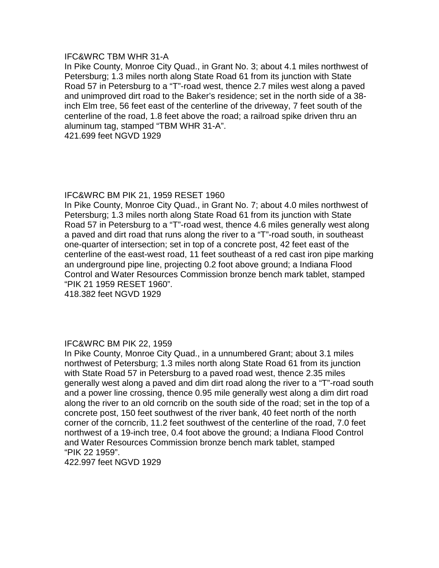#### IFC&WRC TBM WHR 31-A

In Pike County, Monroe City Quad., in Grant No. 3; about 4.1 miles northwest of Petersburg; 1.3 miles north along State Road 61 from its junction with State Road 57 in Petersburg to a "T"-road west, thence 2.7 miles west along a paved and unimproved dirt road to the Baker's residence; set in the north side of a 38 inch Elm tree, 56 feet east of the centerline of the driveway, 7 feet south of the centerline of the road, 1.8 feet above the road; a railroad spike driven thru an aluminum tag, stamped "TBM WHR 31-A".

421.699 feet NGVD 1929

#### IFC&WRC BM PIK 21, 1959 RESET 1960

In Pike County, Monroe City Quad., in Grant No. 7; about 4.0 miles northwest of Petersburg; 1.3 miles north along State Road 61 from its junction with State Road 57 in Petersburg to a "T"-road west, thence 4.6 miles generally west along a paved and dirt road that runs along the river to a "T"-road south, in southeast one-quarter of intersection; set in top of a concrete post, 42 feet east of the centerline of the east-west road, 11 feet southeast of a red cast iron pipe marking an underground pipe line, projecting 0.2 foot above ground; a Indiana Flood Control and Water Resources Commission bronze bench mark tablet, stamped "PIK 21 1959 RESET 1960".

418.382 feet NGVD 1929

## IFC&WRC BM PIK 22, 1959

In Pike County, Monroe City Quad., in a unnumbered Grant; about 3.1 miles northwest of Petersburg; 1.3 miles north along State Road 61 from its junction with State Road 57 in Petersburg to a paved road west, thence 2.35 miles generally west along a paved and dim dirt road along the river to a "T"-road south and a power line crossing, thence 0.95 mile generally west along a dim dirt road along the river to an old corncrib on the south side of the road; set in the top of a concrete post, 150 feet southwest of the river bank, 40 feet north of the north corner of the corncrib, 11.2 feet southwest of the centerline of the road, 7.0 feet northwest of a 19-inch tree, 0.4 foot above the ground; a Indiana Flood Control and Water Resources Commission bronze bench mark tablet, stamped "PIK 22 1959".

422.997 feet NGVD 1929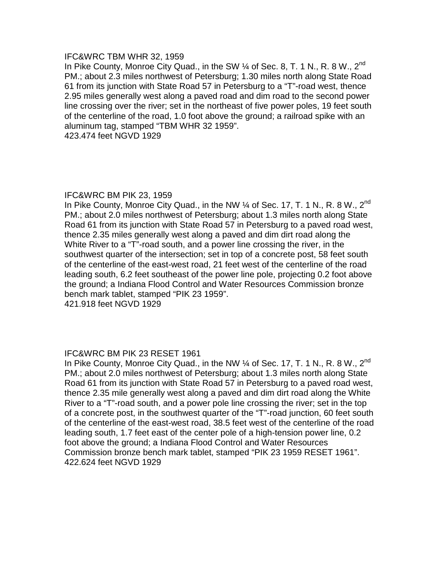## IFC&WRC TBM WHR 32, 1959

In Pike County, Monroe City Quad., in the SW 1/4 of Sec. 8, T. 1 N., R. 8 W., 2<sup>nd</sup> PM.; about 2.3 miles northwest of Petersburg; 1.30 miles north along State Road 61 from its junction with State Road 57 in Petersburg to a "T"-road west, thence 2.95 miles generally west along a paved road and dim road to the second power line crossing over the river; set in the northeast of five power poles, 19 feet south of the centerline of the road, 1.0 foot above the ground; a railroad spike with an aluminum tag, stamped "TBM WHR 32 1959".

423.474 feet NGVD 1929

## IFC&WRC BM PIK 23, 1959

In Pike County, Monroe City Quad., in the NW 1/4 of Sec. 17, T. 1 N., R. 8 W., 2<sup>nd</sup> PM.; about 2.0 miles northwest of Petersburg; about 1.3 miles north along State Road 61 from its junction with State Road 57 in Petersburg to a paved road west, thence 2.35 miles generally west along a paved and dim dirt road along the White River to a "T"-road south, and a power line crossing the river, in the southwest quarter of the intersection; set in top of a concrete post, 58 feet south of the centerline of the east-west road, 21 feet west of the centerline of the road leading south, 6.2 feet southeast of the power line pole, projecting 0.2 foot above the ground; a Indiana Flood Control and Water Resources Commission bronze bench mark tablet, stamped "PIK 23 1959".

421.918 feet NGVD 1929

## IFC&WRC BM PIK 23 RESET 1961

In Pike County, Monroe City Quad., in the NW  $\frac{1}{4}$  of Sec. 17, T. 1 N., R. 8 W., 2<sup>nd</sup> PM.; about 2.0 miles northwest of Petersburg; about 1.3 miles north along State Road 61 from its junction with State Road 57 in Petersburg to a paved road west, thence 2.35 mile generally west along a paved and dim dirt road along the White River to a "T"-road south, and a power pole line crossing the river; set in the top of a concrete post, in the southwest quarter of the "T"-road junction, 60 feet south of the centerline of the east-west road, 38.5 feet west of the centerline of the road leading south, 1.7 feet east of the center pole of a high-tension power line, 0.2 foot above the ground; a Indiana Flood Control and Water Resources Commission bronze bench mark tablet, stamped "PIK 23 1959 RESET 1961". 422.624 feet NGVD 1929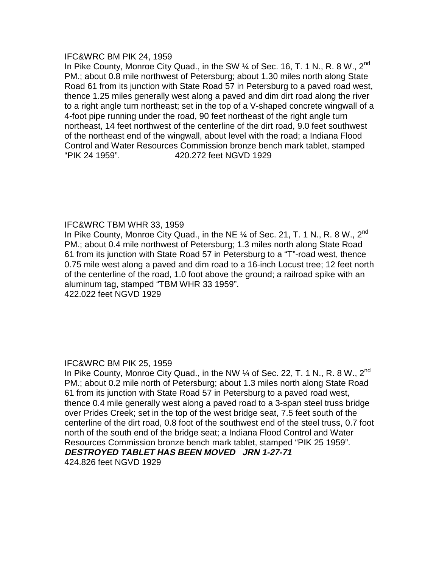#### IFC&WRC BM PIK 24, 1959

In Pike County, Monroe City Quad., in the SW 1/4 of Sec. 16, T. 1 N., R. 8 W., 2<sup>nd</sup> PM.; about 0.8 mile northwest of Petersburg; about 1.30 miles north along State Road 61 from its junction with State Road 57 in Petersburg to a paved road west, thence 1.25 miles generally west along a paved and dim dirt road along the river to a right angle turn northeast; set in the top of a V-shaped concrete wingwall of a 4-foot pipe running under the road, 90 feet northeast of the right angle turn northeast, 14 feet northwest of the centerline of the dirt road, 9.0 feet southwest of the northeast end of the wingwall, about level with the road; a Indiana Flood Control and Water Resources Commission bronze bench mark tablet, stamped "PIK 24 1959". 420.272 feet NGVD 1929

## IFC&WRC TBM WHR 33, 1959

In Pike County, Monroe City Quad., in the NE  $\%$  of Sec. 21, T. 1 N., R. 8 W., 2<sup>nd</sup> PM.; about 0.4 mile northwest of Petersburg; 1.3 miles north along State Road 61 from its junction with State Road 57 in Petersburg to a "T"-road west, thence 0.75 mile west along a paved and dim road to a 16-inch Locust tree; 12 feet north of the centerline of the road, 1.0 foot above the ground; a railroad spike with an aluminum tag, stamped "TBM WHR 33 1959".

422.022 feet NGVD 1929

## IFC&WRC BM PIK 25, 1959

In Pike County, Monroe City Quad., in the NW  $\frac{1}{4}$  of Sec. 22, T. 1 N., R. 8 W., 2<sup>nd</sup> PM.; about 0.2 mile north of Petersburg; about 1.3 miles north along State Road 61 from its junction with State Road 57 in Petersburg to a paved road west, thence 0.4 mile generally west along a paved road to a 3-span steel truss bridge over Prides Creek; set in the top of the west bridge seat, 7.5 feet south of the centerline of the dirt road, 0.8 foot of the southwest end of the steel truss, 0.7 foot north of the south end of the bridge seat; a Indiana Flood Control and Water Resources Commission bronze bench mark tablet, stamped "PIK 25 1959". **DESTROYED TABLET HAS BEEN MOVED JRN 1-27-71**  424.826 feet NGVD 1929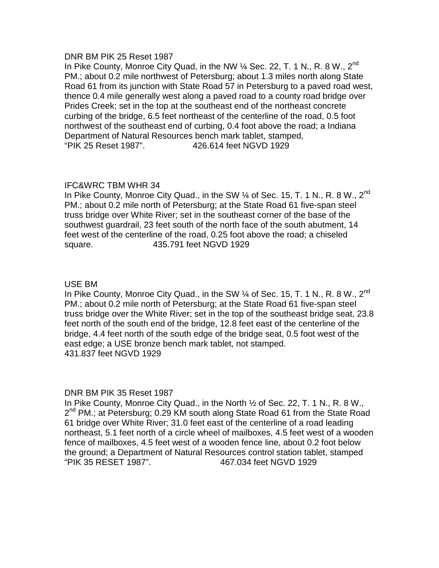#### DNR BM PIK 25 Reset 1987

In Pike County, Monroe City Quad, in the NW  $\%$  Sec. 22, T. 1 N., R. 8 W., 2<sup>nd</sup> PM.; about 0.2 mile northwest of Petersburg; about 1.3 miles north along State Road 61 from its junction with State Road 57 in Petersburg to a paved road west, thence 0.4 mile generally west along a paved road to a county road bridge over Prides Creek; set in the top at the southeast end of the northeast concrete curbing of the bridge, 6.5 feet northeast of the centerline of the road, 0.5 foot northwest of the southeast end of curbing, 0.4 foot above the road; a Indiana Department of Natural Resources bench mark tablet, stamped, "PIK 25 Reset 1987". 426.614 feet NGVD 1929

## IFC&WRC TBM WHR 34

In Pike County, Monroe City Quad., in the SW 1/4 of Sec. 15, T. 1 N., R. 8 W., 2<sup>nd</sup> PM.; about 0.2 mile north of Petersburg; at the State Road 61 five-span steel truss bridge over White River; set in the southeast corner of the base of the southwest guardrail, 23 feet south of the north face of the south abutment, 14 feet west of the centerline of the road, 0.25 foot above the road; a chiseled square. 435.791 feet NGVD 1929

# USE BM

In Pike County, Monroe City Quad., in the SW  $\%$  of Sec. 15, T. 1 N., R. 8 W., 2<sup>nd</sup> PM.; about 0.2 mile north of Petersburg; at the State Road 61 five-span steel truss bridge over the White River; set in the top of the southeast bridge seat, 23.8 feet north of the south end of the bridge, 12.8 feet east of the centerline of the bridge, 4.4 feet north of the south edge of the bridge seat, 0.5 foot west of the east edge; a USE bronze bench mark tablet, not stamped. 431.837 feet NGVD 1929

## DNR BM PIK 35 Reset 1987

In Pike County, Monroe City Quad., in the North ½ of Sec. 22, T. 1 N., R. 8 W., 2<sup>nd</sup> PM.; at Petersburg; 0.29 KM south along State Road 61 from the State Road 61 bridge over White River; 31.0 feet east of the centerline of a road leading northeast, 5.1 feet north of a circle wheel of mailboxes, 4.5 feet west of a wooden fence of mailboxes, 4.5 feet west of a wooden fence line, about 0.2 foot below the ground; a Department of Natural Resources control station tablet, stamped "PIK 35 RESET 1987". 467.034 feet NGVD 1929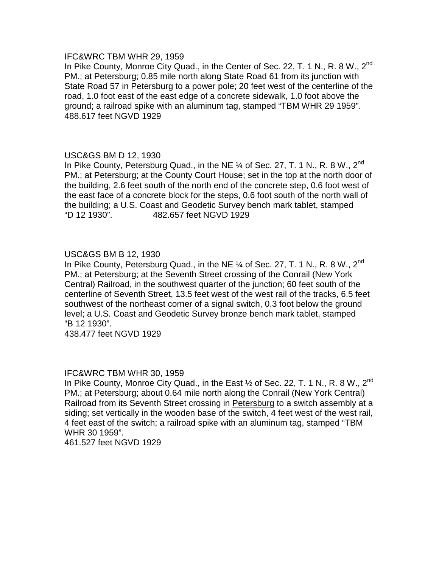## IFC&WRC TBM WHR 29, 1959

In Pike County, Monroe City Quad., in the Center of Sec. 22, T. 1 N., R. 8 W., 2<sup>nd</sup> PM.; at Petersburg; 0.85 mile north along State Road 61 from its junction with State Road 57 in Petersburg to a power pole; 20 feet west of the centerline of the road, 1.0 foot east of the east edge of a concrete sidewalk, 1.0 foot above the ground; a railroad spike with an aluminum tag, stamped "TBM WHR 29 1959". 488.617 feet NGVD 1929

## USC&GS BM D 12, 1930

In Pike County, Petersburg Quad., in the NE  $\%$  of Sec. 27, T. 1 N., R. 8 W., 2<sup>nd</sup> PM.; at Petersburg; at the County Court House; set in the top at the north door of the building, 2.6 feet south of the north end of the concrete step, 0.6 foot west of the east face of a concrete block for the steps, 0.6 foot south of the north wall of the building; a U.S. Coast and Geodetic Survey bench mark tablet, stamped "D 12 1930". 482.657 feet NGVD 1929

## USC&GS BM B 12, 1930

In Pike County, Petersburg Quad., in the NE  $\%$  of Sec. 27, T. 1 N., R. 8 W., 2<sup>nd</sup> PM.; at Petersburg; at the Seventh Street crossing of the Conrail (New York Central) Railroad, in the southwest quarter of the junction; 60 feet south of the centerline of Seventh Street, 13.5 feet west of the west rail of the tracks, 6.5 feet southwest of the northeast corner of a signal switch, 0.3 foot below the ground level; a U.S. Coast and Geodetic Survey bronze bench mark tablet, stamped "B 12 1930".

438.477 feet NGVD 1929

#### IFC&WRC TBM WHR 30, 1959

In Pike County, Monroe City Quad., in the East  $\frac{1}{2}$  of Sec. 22, T. 1 N., R. 8 W., 2<sup>nd</sup> PM.; at Petersburg; about 0.64 mile north along the Conrail (New York Central) Railroad from its Seventh Street crossing in Petersburg to a switch assembly at a siding; set vertically in the wooden base of the switch, 4 feet west of the west rail, 4 feet east of the switch; a railroad spike with an aluminum tag, stamped "TBM WHR 30 1959".

461.527 feet NGVD 1929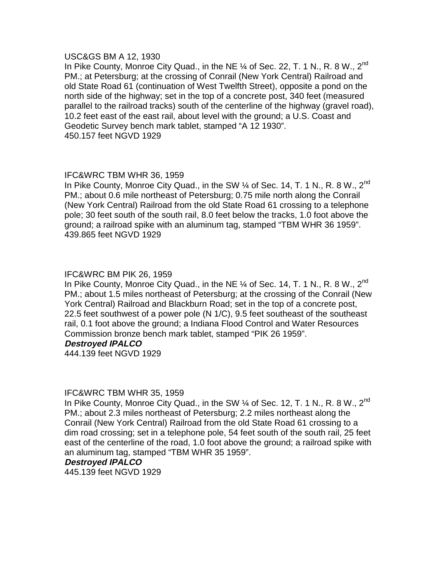## USC&GS BM A 12, 1930

In Pike County, Monroe City Quad., in the NE  $\frac{1}{4}$  of Sec. 22, T. 1 N., R. 8 W., 2<sup>nd</sup> PM.; at Petersburg; at the crossing of Conrail (New York Central) Railroad and old State Road 61 (continuation of West Twelfth Street), opposite a pond on the north side of the highway; set in the top of a concrete post, 340 feet (measured parallel to the railroad tracks) south of the centerline of the highway (gravel road), 10.2 feet east of the east rail, about level with the ground; a U.S. Coast and Geodetic Survey bench mark tablet, stamped "A 12 1930". 450.157 feet NGVD 1929

# IFC&WRC TBM WHR 36, 1959

In Pike County, Monroe City Quad., in the SW  $\%$  of Sec. 14, T. 1 N., R. 8 W., 2<sup>nd</sup> PM.; about 0.6 mile northeast of Petersburg; 0.75 mile north along the Conrail (New York Central) Railroad from the old State Road 61 crossing to a telephone pole; 30 feet south of the south rail, 8.0 feet below the tracks, 1.0 foot above the ground; a railroad spike with an aluminum tag, stamped "TBM WHR 36 1959". 439.865 feet NGVD 1929

## IFC&WRC BM PIK 26, 1959

In Pike County, Monroe City Quad., in the NE  $\%$  of Sec. 14, T. 1 N., R. 8 W., 2<sup>nd</sup> PM.; about 1.5 miles northeast of Petersburg; at the crossing of the Conrail (New York Central) Railroad and Blackburn Road; set in the top of a concrete post, 22.5 feet southwest of a power pole (N 1/C), 9.5 feet southeast of the southeast rail, 0.1 foot above the ground; a Indiana Flood Control and Water Resources Commission bronze bench mark tablet, stamped "PIK 26 1959".

#### **Destroyed IPALCO**

444.139 feet NGVD 1929

## IFC&WRC TBM WHR 35, 1959

In Pike County, Monroe City Quad., in the SW 1/4 of Sec. 12, T. 1 N., R. 8 W., 2<sup>nd</sup> PM.; about 2.3 miles northeast of Petersburg; 2.2 miles northeast along the Conrail (New York Central) Railroad from the old State Road 61 crossing to a dim road crossing; set in a telephone pole, 54 feet south of the south rail, 25 feet east of the centerline of the road, 1.0 foot above the ground; a railroad spike with an aluminum tag, stamped "TBM WHR 35 1959".

#### **Destroyed IPALCO**

445.139 feet NGVD 1929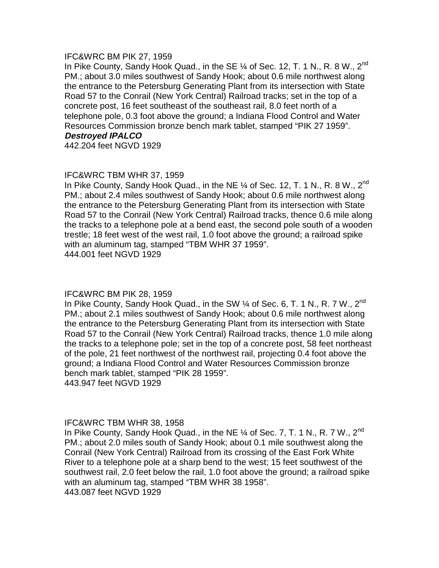#### IFC&WRC BM PIK 27, 1959

In Pike County, Sandy Hook Quad., in the SE  $\%$  of Sec. 12, T. 1 N., R. 8 W., 2<sup>nd</sup> PM.; about 3.0 miles southwest of Sandy Hook; about 0.6 mile northwest along the entrance to the Petersburg Generating Plant from its intersection with State Road 57 to the Conrail (New York Central) Railroad tracks; set in the top of a concrete post, 16 feet southeast of the southeast rail, 8.0 feet north of a telephone pole, 0.3 foot above the ground; a Indiana Flood Control and Water Resources Commission bronze bench mark tablet, stamped "PIK 27 1959". **Destroyed IPALCO** 

442.204 feet NGVD 1929

# IFC&WRC TBM WHR 37, 1959

In Pike County, Sandy Hook Quad., in the NE  $\%$  of Sec. 12, T. 1 N., R. 8 W., 2<sup>nd</sup> PM.; about 2.4 miles southwest of Sandy Hook; about 0.6 mile northwest along the entrance to the Petersburg Generating Plant from its intersection with State Road 57 to the Conrail (New York Central) Railroad tracks, thence 0.6 mile along the tracks to a telephone pole at a bend east, the second pole south of a wooden trestle; 18 feet west of the west rail, 1.0 foot above the ground; a railroad spike with an aluminum tag, stamped "TBM WHR 37 1959". 444.001 feet NGVD 1929

## IFC&WRC BM PIK 28, 1959

In Pike County, Sandy Hook Quad., in the SW 1/4 of Sec. 6, T. 1 N., R. 7 W., 2<sup>nd</sup> PM.; about 2.1 miles southwest of Sandy Hook; about 0.6 mile northwest along the entrance to the Petersburg Generating Plant from its intersection with State Road 57 to the Conrail (New York Central) Railroad tracks, thence 1.0 mile along the tracks to a telephone pole; set in the top of a concrete post, 58 feet northeast of the pole, 21 feet northwest of the northwest rail, projecting 0.4 foot above the ground; a Indiana Flood Control and Water Resources Commission bronze bench mark tablet, stamped "PIK 28 1959". 443.947 feet NGVD 1929

## IFC&WRC TBM WHR 38, 1958

In Pike County, Sandy Hook Quad., in the NE  $\%$  of Sec. 7, T. 1 N., R. 7 W., 2<sup>nd</sup> PM.; about 2.0 miles south of Sandy Hook; about 0.1 mile southwest along the Conrail (New York Central) Railroad from its crossing of the East Fork White River to a telephone pole at a sharp bend to the west; 15 feet southwest of the southwest rail, 2.0 feet below the rail, 1.0 foot above the ground; a railroad spike with an aluminum tag, stamped "TBM WHR 38 1958". 443.087 feet NGVD 1929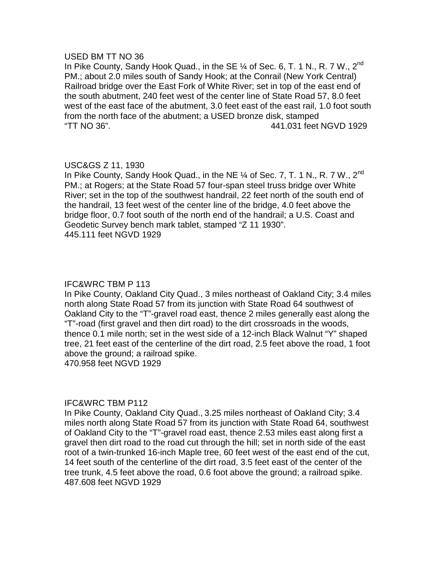#### USED BM TT NO 36

In Pike County, Sandy Hook Quad., in the SE  $\%$  of Sec. 6, T. 1 N., R. 7 W., 2<sup>nd</sup> PM.; about 2.0 miles south of Sandy Hook; at the Conrail (New York Central) Railroad bridge over the East Fork of White River; set in top of the east end of the south abutment, 240 feet west of the center line of State Road 57, 8.0 feet west of the east face of the abutment, 3.0 feet east of the east rail, 1.0 foot south from the north face of the abutment; a USED bronze disk, stamped "TT NO 36". 441.031 feet NGVD 1929

# USC&GS Z 11, 1930

In Pike County, Sandy Hook Quad., in the NE 1/4 of Sec. 7, T. 1 N., R. 7 W., 2<sup>nd</sup> PM.; at Rogers; at the State Road 57 four-span steel truss bridge over White River; set in the top of the southwest handrail, 22 feet north of the south end of the handrail, 13 feet west of the center line of the bridge, 4.0 feet above the bridge floor, 0.7 foot south of the north end of the handrail; a U.S. Coast and Geodetic Survey bench mark tablet, stamped "Z 11 1930". 445.111 feet NGVD 1929

## IFC&WRC TBM P 113

In Pike County, Oakland City Quad., 3 miles northeast of Oakland City; 3.4 miles north along State Road 57 from its junction with State Road 64 southwest of Oakland City to the "T"-gravel road east, thence 2 miles generally east along the "T"-road (first gravel and then dirt road) to the dirt crossroads in the woods, thence 0.1 mile north; set in the west side of a 12-inch Black Walnut "Y" shaped tree, 21 feet east of the centerline of the dirt road, 2.5 feet above the road, 1 foot above the ground; a railroad spike.

470.958 feet NGVD 1929

## IFC&WRC TBM P112

In Pike County, Oakland City Quad., 3.25 miles northeast of Oakland City; 3.4 miles north along State Road 57 from its junction with State Road 64, southwest of Oakland City to the "T"-gravel road east, thence 2.53 miles east along first a gravel then dirt road to the road cut through the hill; set in north side of the east root of a twin-trunked 16-inch Maple tree, 60 feet west of the east end of the cut, 14 feet south of the centerline of the dirt road, 3.5 feet east of the center of the tree trunk, 4.5 feet above the road, 0.6 foot above the ground; a railroad spike. 487.608 feet NGVD 1929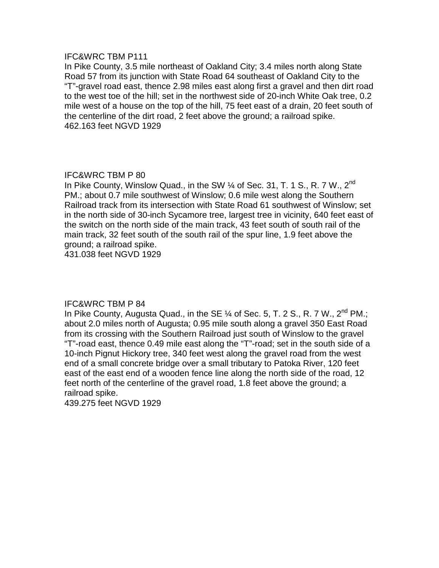In Pike County, 3.5 mile northeast of Oakland City; 3.4 miles north along State Road 57 from its junction with State Road 64 southeast of Oakland City to the "T"-gravel road east, thence 2.98 miles east along first a gravel and then dirt road to the west toe of the hill; set in the northwest side of 20-inch White Oak tree, 0.2 mile west of a house on the top of the hill, 75 feet east of a drain, 20 feet south of the centerline of the dirt road, 2 feet above the ground; a railroad spike. 462.163 feet NGVD 1929

# IFC&WRC TBM P 80

In Pike County, Winslow Quad., in the SW  $\%$  of Sec. 31, T. 1 S., R. 7 W., 2<sup>nd</sup> PM.; about 0.7 mile southwest of Winslow; 0.6 mile west along the Southern Railroad track from its intersection with State Road 61 southwest of Winslow; set in the north side of 30-inch Sycamore tree, largest tree in vicinity, 640 feet east of the switch on the north side of the main track, 43 feet south of south rail of the main track, 32 feet south of the south rail of the spur line, 1.9 feet above the ground; a railroad spike.

431.038 feet NGVD 1929

# IFC&WRC TBM P 84

In Pike County, Augusta Quad., in the SE  $\%$  of Sec. 5, T. 2 S., R. 7 W., 2<sup>nd</sup> PM.; about 2.0 miles north of Augusta; 0.95 mile south along a gravel 350 East Road from its crossing with the Southern Railroad just south of Winslow to the gravel "T"-road east, thence 0.49 mile east along the "T"-road; set in the south side of a 10-inch Pignut Hickory tree, 340 feet west along the gravel road from the west end of a small concrete bridge over a small tributary to Patoka River, 120 feet east of the east end of a wooden fence line along the north side of the road, 12 feet north of the centerline of the gravel road, 1.8 feet above the ground; a railroad spike.

439.275 feet NGVD 1929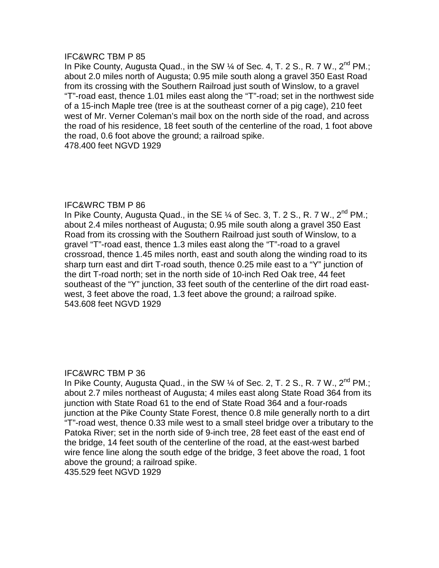In Pike County, Augusta Quad., in the SW 1/4 of Sec. 4, T. 2 S., R. 7 W., 2<sup>nd</sup> PM.; about 2.0 miles north of Augusta; 0.95 mile south along a gravel 350 East Road from its crossing with the Southern Railroad just south of Winslow, to a gravel "T"-road east, thence 1.01 miles east along the "T"-road; set in the northwest side of a 15-inch Maple tree (tree is at the southeast corner of a pig cage), 210 feet west of Mr. Verner Coleman's mail box on the north side of the road, and across the road of his residence, 18 feet south of the centerline of the road, 1 foot above the road, 0.6 foot above the ground; a railroad spike. 478.400 feet NGVD 1929

#### IFC&WRC TBM P 86

In Pike County, Augusta Quad., in the SE  $\%$  of Sec. 3, T. 2 S., R. 7 W., 2<sup>nd</sup> PM.; about 2.4 miles northeast of Augusta; 0.95 mile south along a gravel 350 East Road from its crossing with the Southern Railroad just south of Winslow, to a gravel "T"-road east, thence 1.3 miles east along the "T"-road to a gravel crossroad, thence 1.45 miles north, east and south along the winding road to its sharp turn east and dirt T-road south, thence 0.25 mile east to a "Y" junction of the dirt T-road north; set in the north side of 10-inch Red Oak tree, 44 feet southeast of the "Y" junction, 33 feet south of the centerline of the dirt road east west, 3 feet above the road, 1.3 feet above the ground; a railroad spike. 543.608 feet NGVD 1929

## IFC&WRC TBM P 36

In Pike County, Augusta Quad., in the SW  $\%$  of Sec. 2, T. 2 S., R. 7 W., 2<sup>nd</sup> PM.; about 2.7 miles northeast of Augusta; 4 miles east along State Road 364 from its junction with State Road 61 to the end of State Road 364 and a four-roads junction at the Pike County State Forest, thence 0.8 mile generally north to a dirt "T"-road west, thence 0.33 mile west to a small steel bridge over a tributary to the Patoka River; set in the north side of 9-inch tree, 28 feet east of the east end of the bridge, 14 feet south of the centerline of the road, at the east-west barbed wire fence line along the south edge of the bridge, 3 feet above the road, 1 foot above the ground; a railroad spike.

435.529 feet NGVD 1929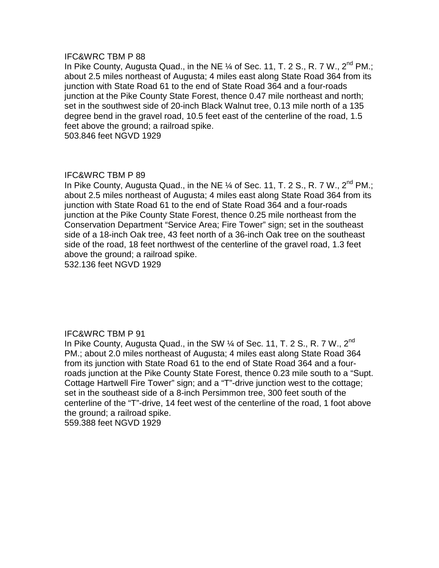In Pike County, Augusta Quad., in the NE  $\%$  of Sec. 11, T. 2 S., R. 7 W., 2<sup>nd</sup> PM.; about 2.5 miles northeast of Augusta; 4 miles east along State Road 364 from its junction with State Road 61 to the end of State Road 364 and a four-roads junction at the Pike County State Forest, thence 0.47 mile northeast and north; set in the southwest side of 20-inch Black Walnut tree, 0.13 mile north of a 135 degree bend in the gravel road, 10.5 feet east of the centerline of the road, 1.5 feet above the ground; a railroad spike.

503.846 feet NGVD 1929

## IFC&WRC TBM P 89

In Pike County, Augusta Quad., in the NE  $\%$  of Sec. 11, T. 2 S., R. 7 W., 2<sup>nd</sup> PM.; about 2.5 miles northeast of Augusta; 4 miles east along State Road 364 from its junction with State Road 61 to the end of State Road 364 and a four-roads junction at the Pike County State Forest, thence 0.25 mile northeast from the Conservation Department "Service Area; Fire Tower" sign; set in the southeast side of a 18-inch Oak tree, 43 feet north of a 36-inch Oak tree on the southeast side of the road, 18 feet northwest of the centerline of the gravel road, 1.3 feet above the ground; a railroad spike.

532.136 feet NGVD 1929

## IFC&WRC TBM P 91

In Pike County, Augusta Quad., in the SW  $\%$  of Sec. 11, T. 2 S., R. 7 W., 2<sup>nd</sup> PM.; about 2.0 miles northeast of Augusta; 4 miles east along State Road 364 from its junction with State Road 61 to the end of State Road 364 and a four roads junction at the Pike County State Forest, thence 0.23 mile south to a "Supt. Cottage Hartwell Fire Tower" sign; and a "T"-drive junction west to the cottage; set in the southeast side of a 8-inch Persimmon tree, 300 feet south of the centerline of the "T"-drive, 14 feet west of the centerline of the road, 1 foot above the ground; a railroad spike. 559.388 feet NGVD 1929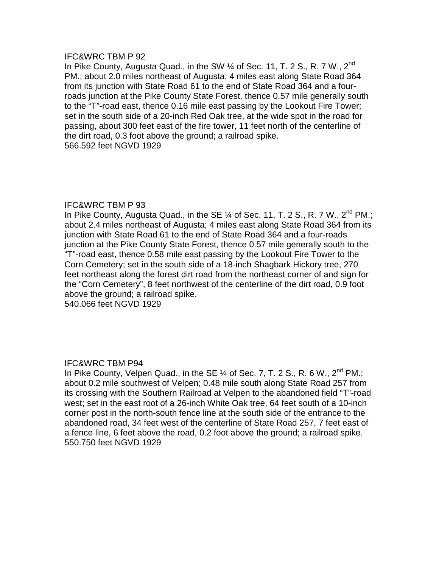In Pike County, Augusta Quad., in the SW  $\%$  of Sec. 11, T. 2 S., R. 7 W., 2<sup>nd</sup> PM.; about 2.0 miles northeast of Augusta; 4 miles east along State Road 364 from its junction with State Road 61 to the end of State Road 364 and a four roads junction at the Pike County State Forest, thence 0.57 mile generally south to the "T"-road east, thence 0.16 mile east passing by the Lookout Fire Tower; set in the south side of a 20-inch Red Oak tree, at the wide spot in the road for passing, about 300 feet east of the fire tower, 11 feet north of the centerline of the dirt road, 0.3 foot above the ground; a railroad spike. 566.592 feet NGVD 1929

## IFC&WRC TBM P 93

In Pike County, Augusta Quad., in the SE  $\%$  of Sec. 11, T. 2 S., R. 7 W., 2<sup>nd</sup> PM.; about 2.4 miles northeast of Augusta; 4 miles east along State Road 364 from its junction with State Road 61 to the end of State Road 364 and a four-roads junction at the Pike County State Forest, thence 0.57 mile generally south to the "T"-road east, thence 0.58 mile east passing by the Lookout Fire Tower to the Corn Cemetery; set in the south side of a 18-inch Shagbark Hickory tree, 270 feet northeast along the forest dirt road from the northeast corner of and sign for the "Corn Cemetery", 8 feet northwest of the centerline of the dirt road, 0.9 foot above the ground; a railroad spike.

540.066 feet NGVD 1929

## IFC&WRC TBM P94

In Pike County, Velpen Quad., in the SE  $\%$  of Sec. 7, T. 2 S., R. 6 W., 2<sup>nd</sup> PM.; about 0.2 mile southwest of Velpen; 0.48 mile south along State Road 257 from its crossing with the Southern Railroad at Velpen to the abandoned field "T"-road west; set in the east root of a 26-inch White Oak tree, 64 feet south of a 10-inch corner post in the north-south fence line at the south side of the entrance to the abandoned road, 34 feet west of the centerline of State Road 257, 7 feet east of a fence line, 6 feet above the road, 0.2 foot above the ground; a railroad spike. 550.750 feet NGVD 1929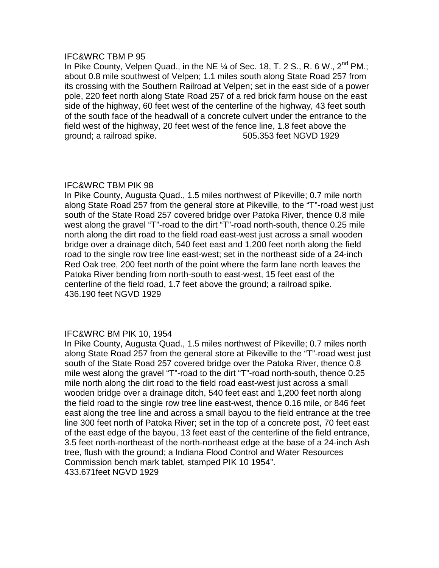In Pike County, Velpen Quad., in the NE  $\%$  of Sec. 18, T. 2 S., R. 6 W., 2<sup>nd</sup> PM.; about 0.8 mile southwest of Velpen; 1.1 miles south along State Road 257 from its crossing with the Southern Railroad at Velpen; set in the east side of a power pole, 220 feet north along State Road 257 of a red brick farm house on the east side of the highway, 60 feet west of the centerline of the highway, 43 feet south of the south face of the headwall of a concrete culvert under the entrance to the field west of the highway, 20 feet west of the fence line, 1.8 feet above the ground; a railroad spike. 505.353 feet NGVD 1929

## IFC&WRC TBM PIK 98

In Pike County, Augusta Quad., 1.5 miles northwest of Pikeville; 0.7 mile north along State Road 257 from the general store at Pikeville, to the "T"-road west just south of the State Road 257 covered bridge over Patoka River, thence 0.8 mile west along the gravel "T"-road to the dirt "T"-road north-south, thence 0.25 mile north along the dirt road to the field road east-west just across a small wooden bridge over a drainage ditch, 540 feet east and 1,200 feet north along the field road to the single row tree line east-west; set in the northeast side of a 24-inch Red Oak tree, 200 feet north of the point where the farm lane north leaves the Patoka River bending from north-south to east-west, 15 feet east of the centerline of the field road, 1.7 feet above the ground; a railroad spike. 436.190 feet NGVD 1929

## IFC&WRC BM PIK 10, 1954

In Pike County, Augusta Quad., 1.5 miles northwest of Pikeville; 0.7 miles north along State Road 257 from the general store at Pikeville to the "T"-road west just south of the State Road 257 covered bridge over the Patoka River, thence 0.8 mile west along the gravel "T"-road to the dirt "T"-road north-south, thence 0.25 mile north along the dirt road to the field road east-west just across a small wooden bridge over a drainage ditch, 540 feet east and 1,200 feet north along the field road to the single row tree line east-west, thence 0.16 mile, or 846 feet east along the tree line and across a small bayou to the field entrance at the tree line 300 feet north of Patoka River; set in the top of a concrete post, 70 feet east of the east edge of the bayou, 13 feet east of the centerline of the field entrance, 3.5 feet north-northeast of the north-northeast edge at the base of a 24-inch Ash tree, flush with the ground; a Indiana Flood Control and Water Resources Commission bench mark tablet, stamped PIK 10 1954". 433.671feet NGVD 1929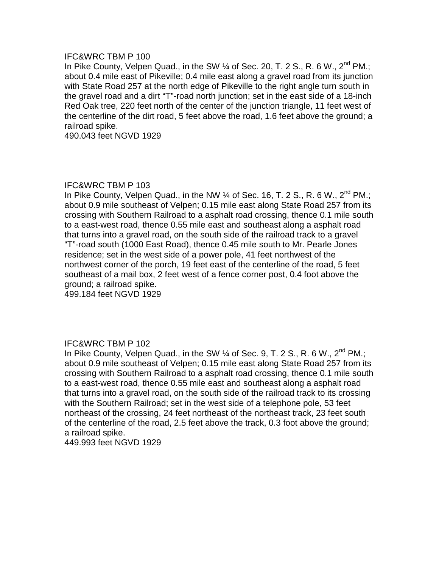In Pike County, Velpen Quad., in the SW  $\%$  of Sec. 20, T. 2 S., R. 6 W., 2<sup>nd</sup> PM.; about 0.4 mile east of Pikeville; 0.4 mile east along a gravel road from its junction with State Road 257 at the north edge of Pikeville to the right angle turn south in the gravel road and a dirt "T"-road north junction; set in the east side of a 18-inch Red Oak tree, 220 feet north of the center of the junction triangle, 11 feet west of the centerline of the dirt road, 5 feet above the road, 1.6 feet above the ground; a railroad spike.

490.043 feet NGVD 1929

## IFC&WRC TBM P 103

In Pike County, Velpen Quad., in the NW  $\%$  of Sec. 16, T. 2 S., R. 6 W., 2<sup>nd</sup> PM.; about 0.9 mile southeast of Velpen; 0.15 mile east along State Road 257 from its crossing with Southern Railroad to a asphalt road crossing, thence 0.1 mile south to a east-west road, thence 0.55 mile east and southeast along a asphalt road that turns into a gravel road, on the south side of the railroad track to a gravel "T"-road south (1000 East Road), thence 0.45 mile south to Mr. Pearle Jones residence; set in the west side of a power pole, 41 feet northwest of the northwest corner of the porch, 19 feet east of the centerline of the road, 5 feet southeast of a mail box, 2 feet west of a fence corner post, 0.4 foot above the ground; a railroad spike.

499.184 feet NGVD 1929

## IFC&WRC TBM P 102

In Pike County, Velpen Quad., in the SW  $\%$  of Sec. 9, T. 2 S., R. 6 W., 2<sup>nd</sup> PM.; about 0.9 mile southeast of Velpen; 0.15 mile east along State Road 257 from its crossing with Southern Railroad to a asphalt road crossing, thence 0.1 mile south to a east-west road, thence 0.55 mile east and southeast along a asphalt road that turns into a gravel road, on the south side of the railroad track to its crossing with the Southern Railroad; set in the west side of a telephone pole, 53 feet northeast of the crossing, 24 feet northeast of the northeast track, 23 feet south of the centerline of the road, 2.5 feet above the track, 0.3 foot above the ground; a railroad spike.

449.993 feet NGVD 1929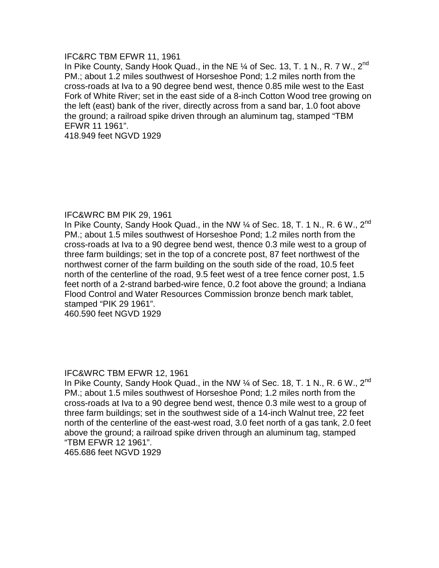## IFC&RC TBM EFWR 11, 1961

In Pike County, Sandy Hook Quad., in the NE 1/4 of Sec. 13, T. 1 N., R. 7 W., 2<sup>nd</sup> PM.; about 1.2 miles southwest of Horseshoe Pond; 1.2 miles north from the cross-roads at Iva to a 90 degree bend west, thence 0.85 mile west to the East Fork of White River; set in the east side of a 8-inch Cotton Wood tree growing on the left (east) bank of the river, directly across from a sand bar, 1.0 foot above the ground; a railroad spike driven through an aluminum tag, stamped "TBM EFWR 11 1961".

418.949 feet NGVD 1929

## IFC&WRC BM PIK 29, 1961

In Pike County, Sandy Hook Quad., in the NW  $\%$  of Sec. 18, T. 1 N., R. 6 W., 2<sup>nd</sup> PM.; about 1.5 miles southwest of Horseshoe Pond; 1.2 miles north from the cross-roads at Iva to a 90 degree bend west, thence 0.3 mile west to a group of three farm buildings; set in the top of a concrete post, 87 feet northwest of the northwest corner of the farm building on the south side of the road, 10.5 feet north of the centerline of the road, 9.5 feet west of a tree fence corner post, 1.5 feet north of a 2-strand barbed-wire fence, 0.2 foot above the ground; a Indiana Flood Control and Water Resources Commission bronze bench mark tablet, stamped "PIK 29 1961". 460.590 feet NGVD 1929

## IFC&WRC TBM EFWR 12, 1961

In Pike County, Sandy Hook Quad., in the NW  $\%$  of Sec. 18, T. 1 N., R. 6 W., 2<sup>nd</sup> PM.; about 1.5 miles southwest of Horseshoe Pond; 1.2 miles north from the cross-roads at Iva to a 90 degree bend west, thence 0.3 mile west to a group of three farm buildings; set in the southwest side of a 14-inch Walnut tree, 22 feet north of the centerline of the east-west road, 3.0 feet north of a gas tank, 2.0 feet above the ground; a railroad spike driven through an aluminum tag, stamped "TBM EFWR 12 1961".

465.686 feet NGVD 1929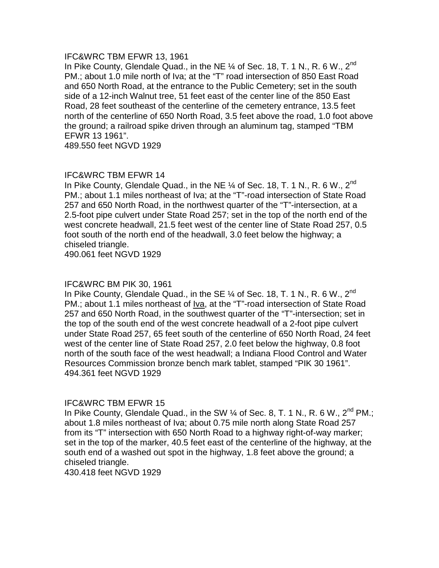#### IFC&WRC TBM EFWR 13, 1961

In Pike County, Glendale Quad., in the NE 1/4 of Sec. 18, T. 1 N., R. 6 W., 2<sup>nd</sup> PM.; about 1.0 mile north of Iva; at the "T" road intersection of 850 East Road and 650 North Road, at the entrance to the Public Cemetery; set in the south side of a 12-inch Walnut tree, 51 feet east of the center line of the 850 East Road, 28 feet southeast of the centerline of the cemetery entrance, 13.5 feet north of the centerline of 650 North Road, 3.5 feet above the road, 1.0 foot above the ground; a railroad spike driven through an aluminum tag, stamped "TBM EFWR 13 1961".

489.550 feet NGVD 1929

## IFC&WRC TBM EFWR 14

In Pike County, Glendale Quad., in the NE  $\%$  of Sec. 18, T. 1 N., R. 6 W., 2<sup>nd</sup> PM.; about 1.1 miles northeast of Iva; at the "T"-road intersection of State Road 257 and 650 North Road, in the northwest quarter of the "T"-intersection, at a 2.5-foot pipe culvert under State Road 257; set in the top of the north end of the west concrete headwall, 21.5 feet west of the center line of State Road 257, 0.5 foot south of the north end of the headwall, 3.0 feet below the highway; a chiseled triangle.

490.061 feet NGVD 1929

#### IFC&WRC BM PIK 30, 1961

In Pike County, Glendale Quad., in the SE  $\%$  of Sec. 18, T. 1 N., R. 6 W., 2<sup>nd</sup> PM.; about 1.1 miles northeast of <u>Iva</u>, at the "T"-road intersection of State Road 257 and 650 North Road, in the southwest quarter of the "T"-intersection; set in the top of the south end of the west concrete headwall of a 2-foot pipe culvert under State Road 257, 65 feet south of the centerline of 650 North Road, 24 feet west of the center line of State Road 257, 2.0 feet below the highway, 0.8 foot north of the south face of the west headwall; a Indiana Flood Control and Water Resources Commission bronze bench mark tablet, stamped "PIK 30 1961". 494.361 feet NGVD 1929

## IFC&WRC TBM EFWR 15

In Pike County, Glendale Quad., in the SW  $\frac{1}{4}$  of Sec. 8, T. 1 N., R. 6 W., 2<sup>nd</sup> PM.; about 1.8 miles northeast of Iva; about 0.75 mile north along State Road 257 from its "T" intersection with 650 North Road to a highway right-of-way marker; set in the top of the marker, 40.5 feet east of the centerline of the highway, at the south end of a washed out spot in the highway, 1.8 feet above the ground; a chiseled triangle.

430.418 feet NGVD 1929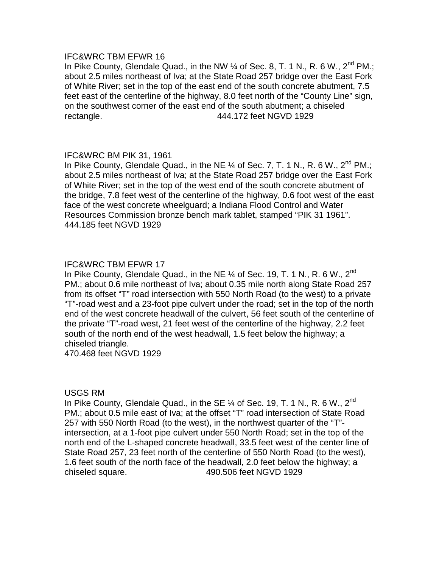## IFC&WRC TBM EFWR 16

In Pike County, Glendale Quad., in the NW  $\frac{1}{4}$  of Sec. 8, T. 1 N., R. 6 W., 2<sup>nd</sup> PM.; about 2.5 miles northeast of Iva; at the State Road 257 bridge over the East Fork of White River; set in the top of the east end of the south concrete abutment, 7.5 feet east of the centerline of the highway, 8.0 feet north of the "County Line" sign, on the southwest corner of the east end of the south abutment; a chiseled rectangle. 444.172 feet NGVD 1929

## IFC&WRC BM PIK 31, 1961

In Pike County, Glendale Quad., in the NE  $\%$  of Sec. 7, T. 1 N., R. 6 W., 2<sup>nd</sup> PM.; about 2.5 miles northeast of Iva; at the State Road 257 bridge over the East Fork of White River; set in the top of the west end of the south concrete abutment of the bridge, 7.8 feet west of the centerline of the highway, 0.6 foot west of the east face of the west concrete wheelguard; a Indiana Flood Control and Water Resources Commission bronze bench mark tablet, stamped "PIK 31 1961". 444.185 feet NGVD 1929

# IFC&WRC TBM EFWR 17

In Pike County, Glendale Quad., in the NE  $\%$  of Sec. 19, T. 1 N., R. 6 W., 2<sup>nd</sup> PM.; about 0.6 mile northeast of Iva; about 0.35 mile north along State Road 257 from its offset "T" road intersection with 550 North Road (to the west) to a private "T"-road west and a 23-foot pipe culvert under the road; set in the top of the north end of the west concrete headwall of the culvert, 56 feet south of the centerline of the private "T"-road west, 21 feet west of the centerline of the highway, 2.2 feet south of the north end of the west headwall, 1.5 feet below the highway; a chiseled triangle.

470.468 feet NGVD 1929

## USGS RM

In Pike County, Glendale Quad., in the SE  $\%$  of Sec. 19, T. 1 N., R. 6 W., 2<sup>nd</sup> PM.; about 0.5 mile east of Iva; at the offset "T" road intersection of State Road 257 with 550 North Road (to the west), in the northwest quarter of the "T" intersection, at a 1-foot pipe culvert under 550 North Road; set in the top of the north end of the L-shaped concrete headwall, 33.5 feet west of the center line of State Road 257, 23 feet north of the centerline of 550 North Road (to the west), 1.6 feet south of the north face of the headwall, 2.0 feet below the highway; a chiseled square. 490.506 feet NGVD 1929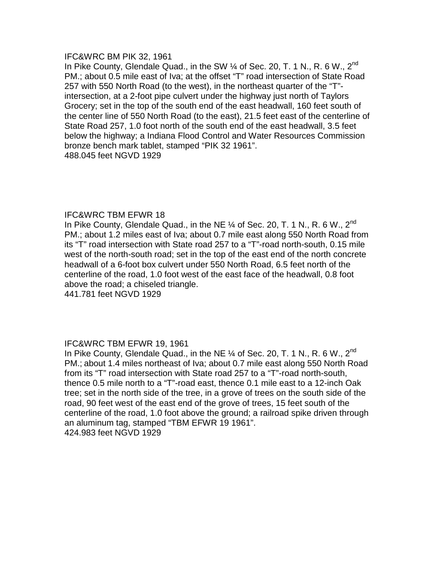#### IFC&WRC BM PIK 32, 1961

In Pike County, Glendale Quad., in the SW 1/4 of Sec. 20, T. 1 N., R. 6 W., 2<sup>nd</sup> PM.; about 0.5 mile east of Iva; at the offset "T" road intersection of State Road 257 with 550 North Road (to the west), in the northeast quarter of the "T" intersection, at a 2-foot pipe culvert under the highway just north of Taylors Grocery; set in the top of the south end of the east headwall, 160 feet south of the center line of 550 North Road (to the east), 21.5 feet east of the centerline of State Road 257, 1.0 foot north of the south end of the east headwall, 3.5 feet below the highway; a Indiana Flood Control and Water Resources Commission bronze bench mark tablet, stamped "PIK 32 1961". 488.045 feet NGVD 1929

## IFC&WRC TBM EFWR 18

In Pike County, Glendale Quad., in the NE  $\%$  of Sec. 20, T. 1 N., R. 6 W., 2<sup>nd</sup> PM.; about 1.2 miles east of Iva; about 0.7 mile east along 550 North Road from its "T" road intersection with State road 257 to a "T"-road north-south, 0.15 mile west of the north-south road; set in the top of the east end of the north concrete headwall of a 6-foot box culvert under 550 North Road, 6.5 feet north of the centerline of the road, 1.0 foot west of the east face of the headwall, 0.8 foot above the road; a chiseled triangle.

441.781 feet NGVD 1929

# IFC&WRC TBM EFWR 19, 1961

In Pike County, Glendale Quad., in the NE 1/4 of Sec. 20, T. 1 N., R. 6 W., 2<sup>nd</sup> PM.; about 1.4 miles northeast of Iva; about 0.7 mile east along 550 North Road from its "T" road intersection with State road 257 to a "T"-road north-south, thence 0.5 mile north to a "T"-road east, thence 0.1 mile east to a 12-inch Oak tree; set in the north side of the tree, in a grove of trees on the south side of the road, 90 feet west of the east end of the grove of trees, 15 feet south of the centerline of the road, 1.0 foot above the ground; a railroad spike driven through an aluminum tag, stamped "TBM EFWR 19 1961". 424.983 feet NGVD 1929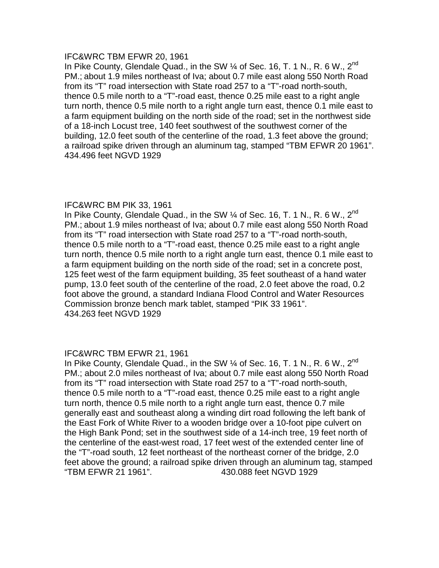## IFC&WRC TBM EFWR 20, 1961

In Pike County, Glendale Quad., in the SW 1/4 of Sec. 16, T. 1 N., R. 6 W., 2<sup>nd</sup> PM.; about 1.9 miles northeast of Iva; about 0.7 mile east along 550 North Road from its "T" road intersection with State road 257 to a "T"-road north-south, thence 0.5 mile north to a "T"-road east, thence 0.25 mile east to a right angle turn north, thence 0.5 mile north to a right angle turn east, thence 0.1 mile east to a farm equipment building on the north side of the road; set in the northwest side of a 18-inch Locust tree, 140 feet southwest of the southwest corner of the building, 12.0 feet south of the centerline of the road, 1.3 feet above the ground; a railroad spike driven through an aluminum tag, stamped "TBM EFWR 20 1961". 434.496 feet NGVD 1929

# IFC&WRC BM PIK 33, 1961

In Pike County, Glendale Quad., in the SW 1/4 of Sec. 16, T. 1 N., R. 6 W., 2<sup>nd</sup> PM.; about 1.9 miles northeast of Iva; about 0.7 mile east along 550 North Road from its "T" road intersection with State road 257 to a "T"-road north-south, thence 0.5 mile north to a "T"-road east, thence 0.25 mile east to a right angle turn north, thence 0.5 mile north to a right angle turn east, thence 0.1 mile east to a farm equipment building on the north side of the road; set in a concrete post, 125 feet west of the farm equipment building, 35 feet southeast of a hand water pump, 13.0 feet south of the centerline of the road, 2.0 feet above the road, 0.2 foot above the ground, a standard Indiana Flood Control and Water Resources Commission bronze bench mark tablet, stamped "PIK 33 1961". 434.263 feet NGVD 1929

## IFC&WRC TBM EFWR 21, 1961

In Pike County, Glendale Quad., in the SW 1/4 of Sec. 16, T. 1 N., R. 6 W., 2<sup>nd</sup> PM.; about 2.0 miles northeast of Iva; about 0.7 mile east along 550 North Road from its "T" road intersection with State road 257 to a "T"-road north-south, thence 0.5 mile north to a "T"-road east, thence 0.25 mile east to a right angle turn north, thence 0.5 mile north to a right angle turn east, thence 0.7 mile generally east and southeast along a winding dirt road following the left bank of the East Fork of White River to a wooden bridge over a 10-foot pipe culvert on the High Bank Pond; set in the southwest side of a 14-inch tree, 19 feet north of the centerline of the east-west road, 17 feet west of the extended center line of the "T"-road south, 12 feet northeast of the northeast corner of the bridge, 2.0 feet above the ground; a railroad spike driven through an aluminum tag, stamped "TBM EFWR 21 1961". 430.088 feet NGVD 1929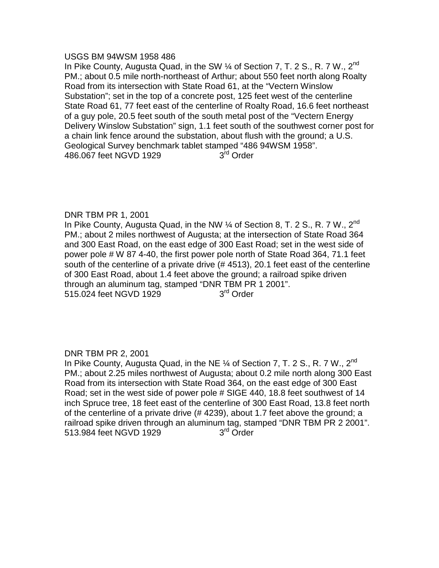## USGS BM 94WSM 1958 486

In Pike County, Augusta Quad, in the SW 1/4 of Section 7, T. 2 S., R. 7 W., 2<sup>nd</sup> PM.; about 0.5 mile north-northeast of Arthur; about 550 feet north along Roalty Road from its intersection with State Road 61, at the "Vectern Winslow Substation"; set in the top of a concrete post, 125 feet west of the centerline State Road 61, 77 feet east of the centerline of Roalty Road, 16.6 feet northeast of a guy pole, 20.5 feet south of the south metal post of the "Vectern Energy Delivery Winslow Substation" sign, 1.1 feet south of the southwest corner post for a chain link fence around the substation, about flush with the ground; a U.S. Geological Survey benchmark tablet stamped "486 94WSM 1958".<br>486.067 feet NGVD 1929 3<sup>rd</sup> Order 486.067 feet NGVD 1929

## DNR TBM PR 1, 2001

In Pike County, Augusta Quad, in the NW  $\frac{1}{4}$  of Section 8, T. 2 S., R. 7 W., 2<sup>nd</sup> PM.; about 2 miles northwest of Augusta; at the intersection of State Road 364 and 300 East Road, on the east edge of 300 East Road; set in the west side of power pole # W 87 4-40, the first power pole north of State Road 364, 71.1 feet south of the centerline of a private drive (# 4513), 20.1 feet east of the centerline of 300 East Road, about 1.4 feet above the ground; a railroad spike driven through an aluminum tag, stamped "DNR TBM PR 1 2001".<br>515.024 feet NGVD 1929  $3<sup>rd</sup>$  Order 515.024 feet NGVD 1929

## DNR TBM PR 2, 2001

In Pike County, Augusta Quad, in the NE 1/4 of Section 7, T. 2 S., R. 7 W., 2<sup>nd</sup> PM.; about 2.25 miles northwest of Augusta; about 0.2 mile north along 300 East Road from its intersection with State Road 364, on the east edge of 300 East Road; set in the west side of power pole # SIGE 440, 18.8 feet southwest of 14 inch Spruce tree, 18 feet east of the centerline of 300 East Road, 13.8 feet north of the centerline of a private drive (# 4239), about 1.7 feet above the ground; a railroad spike driven through an aluminum tag, stamped "DNR TBM PR 2 2001". 513.984 feet NGVD 1929 3<sup>rd</sup> Order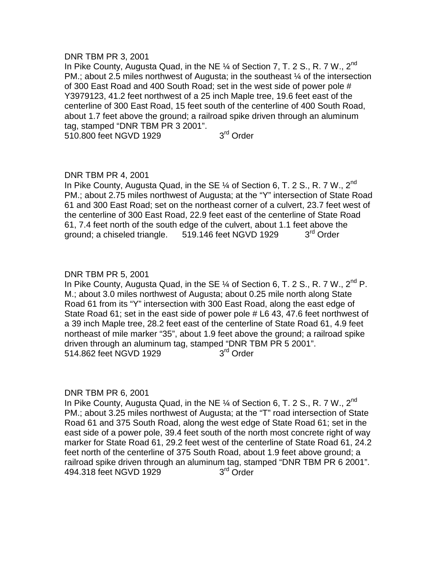#### DNR TBM PR 3, 2001

In Pike County, Augusta Quad, in the NE 1/4 of Section 7, T. 2 S., R. 7 W., 2<sup>nd</sup> PM.; about 2.5 miles northwest of Augusta; in the southeast ¼ of the intersection of 300 East Road and 400 South Road; set in the west side of power pole # Y3979123, 41.2 feet northwest of a 25 inch Maple tree, 19.6 feet east of the centerline of 300 East Road, 15 feet south of the centerline of 400 South Road, about 1.7 feet above the ground; a railroad spike driven through an aluminum tag, stamped "DNR TBM PR 3 2001". 510.800 feet NGVD 1929 3<sup>rd</sup> Order

# DNR TBM PR 4, 2001

In Pike County, Augusta Quad, in the SE  $\%$  of Section 6, T. 2 S., R. 7 W., 2<sup>nd</sup> PM.; about 2.75 miles northwest of Augusta; at the "Y" intersection of State Road 61 and 300 East Road; set on the northeast corner of a culvert, 23.7 feet west of the centerline of 300 East Road, 22.9 feet east of the centerline of State Road 61, 7.4 feet north of the south edge of the culvert, about 1.1 feet above the ground; a chiseled triangle.  $519.146$  feet NGVD 1929  $3<sup>rd</sup>$  Order

## DNR TBM PR 5, 2001

In Pike County, Augusta Quad, in the SE  $\frac{1}{4}$  of Section 6, T. 2 S., R. 7 W., 2<sup>nd</sup> P. M.; about 3.0 miles northwest of Augusta; about 0.25 mile north along State Road 61 from its "Y" intersection with 300 East Road, along the east edge of State Road 61; set in the east side of power pole # L6 43, 47.6 feet northwest of a 39 inch Maple tree, 28.2 feet east of the centerline of State Road 61, 4.9 feet northeast of mile marker "35", about 1.9 feet above the ground; a railroad spike driven through an aluminum tag, stamped "DNR TBM PR 5 2001".<br>514.862 feet NGVD 1929 3<sup>rd</sup> Order 514.862 feet NGVD 1929

## DNR TBM PR 6, 2001

In Pike County, Augusta Quad, in the NE 1/4 of Section 6, T. 2 S., R. 7 W., 2<sup>nd</sup> PM.; about 3.25 miles northwest of Augusta; at the "T" road intersection of State Road 61 and 375 South Road, along the west edge of State Road 61; set in the east side of a power pole, 39.4 feet south of the north most concrete right of way marker for State Road 61, 29.2 feet west of the centerline of State Road 61, 24.2 feet north of the centerline of 375 South Road, about 1.9 feet above ground; a railroad spike driven through an aluminum tag, stamped "DNR TBM PR 6 2001".<br>494.318 feet NGVD 1929  $3<sup>rd</sup>$  Order 494.318 feet NGVD 1929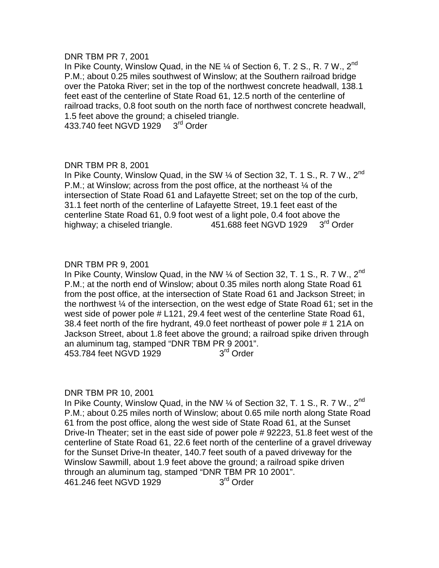## DNR TBM PR 7, 2001

In Pike County, Winslow Quad, in the NE 1/4 of Section 6, T. 2 S., R. 7 W., 2<sup>nd</sup> P.M.; about 0.25 miles southwest of Winslow; at the Southern railroad bridge over the Patoka River; set in the top of the northwest concrete headwall, 138.1 feet east of the centerline of State Road 61, 12.5 north of the centerline of railroad tracks, 0.8 foot south on the north face of northwest concrete headwall, 1.5 feet above the ground; a chiseled triangle. 433.740 feet NGVD 1929 3<sup>rd</sup> Order

DNR TBM PR 8, 2001

In Pike County, Winslow Quad, in the SW 1/4 of Section 32, T. 1 S., R. 7 W., 2<sup>nd</sup> P.M.; at Winslow; across from the post office, at the northeast ¼ of the intersection of State Road 61 and Lafayette Street; set on the top of the curb, 31.1 feet north of the centerline of Lafayette Street, 19.1 feet east of the centerline State Road 61, 0.9 foot west of a light pole, 0.4 foot above the highway; a chiseled triangle. 451.688 feet NGVD 1929 3rd Order

# DNR TBM PR 9, 2001

In Pike County, Winslow Quad, in the NW 1/4 of Section 32, T. 1 S., R. 7 W., 2<sup>nd</sup> P.M.; at the north end of Winslow; about 0.35 miles north along State Road 61 from the post office, at the intersection of State Road 61 and Jackson Street; in the northwest ¼ of the intersection, on the west edge of State Road 61; set in the west side of power pole # L121, 29.4 feet west of the centerline State Road 61, 38.4 feet north of the fire hydrant, 49.0 feet northeast of power pole # 1 21A on Jackson Street, about 1.8 feet above the ground; a railroad spike driven through an aluminum tag, stamped "DNR TBM PR 9 2001".<br>453.784 feet NGVD 1929 3<sup>rd</sup> Order 453.784 feet NGVD 1929

## DNR TBM PR 10, 2001

In Pike County, Winslow Quad, in the NW 1/4 of Section 32, T. 1 S., R. 7 W., 2<sup>nd</sup> P.M.; about 0.25 miles north of Winslow; about 0.65 mile north along State Road 61 from the post office, along the west side of State Road 61, at the Sunset Drive-In Theater; set in the east side of power pole # 92223, 51.8 feet west of the centerline of State Road 61, 22.6 feet north of the centerline of a gravel driveway for the Sunset Drive-In theater, 140.7 feet south of a paved driveway for the Winslow Sawmill, about 1.9 feet above the ground; a railroad spike driven through an aluminum tag, stamped "DNR TBM PR 10 2001".<br>461.246 feet NGVD 1929  $3<sup>rd</sup>$  Order 461.246 feet NGVD 1929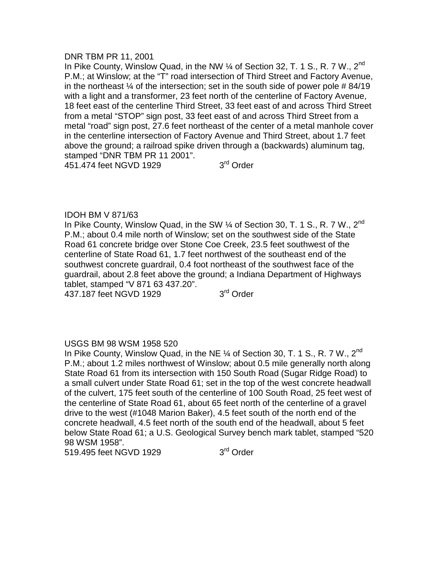#### DNR TBM PR 11, 2001

In Pike County, Winslow Quad, in the NW 1/4 of Section 32, T. 1 S., R. 7 W., 2<sup>nd</sup> P.M.; at Winslow; at the "T" road intersection of Third Street and Factory Avenue, in the northeast  $\frac{1}{4}$  of the intersection; set in the south side of power pole # 84/19 with a light and a transformer, 23 feet north of the centerline of Factory Avenue, 18 feet east of the centerline Third Street, 33 feet east of and across Third Street from a metal "STOP" sign post, 33 feet east of and across Third Street from a metal "road" sign post, 27.6 feet northeast of the center of a metal manhole cover in the centerline intersection of Factory Avenue and Third Street, about 1.7 feet above the ground; a railroad spike driven through a (backwards) aluminum tag, stamped "DNR TBM PR 11 2001".

451.474 feet NGVD 1929 3<sup>rd</sup> Order

## IDOH BM V 871/63

In Pike County, Winslow Quad, in the SW 1/4 of Section 30, T. 1 S., R. 7 W., 2<sup>nd</sup> P.M.; about 0.4 mile north of Winslow; set on the southwest side of the State Road 61 concrete bridge over Stone Coe Creek, 23.5 feet southwest of the centerline of State Road 61, 1.7 feet northwest of the southeast end of the southwest concrete guardrail, 0.4 foot northeast of the southwest face of the guardrail, about 2.8 feet above the ground; a Indiana Department of Highways tablet, stamped "V 871 63 437.20".

437.187 feet NGVD 1929 3<sup>rd</sup> Order

# USGS BM 98 WSM 1958 520

In Pike County, Winslow Quad, in the NE 1/4 of Section 30, T. 1 S., R. 7 W., 2<sup>nd</sup> P.M.; about 1.2 miles northwest of Winslow; about 0.5 mile generally north along State Road 61 from its intersection with 150 South Road (Sugar Ridge Road) to a small culvert under State Road 61; set in the top of the west concrete headwall of the culvert, 175 feet south of the centerline of 100 South Road, 25 feet west of the centerline of State Road 61, about 65 feet north of the centerline of a gravel drive to the west (#1048 Marion Baker), 4.5 feet south of the north end of the concrete headwall, 4.5 feet north of the south end of the headwall, about 5 feet below State Road 61; a U.S. Geological Survey bench mark tablet, stamped "520 98 WSM 1958".

519.495 feet NGVD 1929 3<sup>rd</sup> Order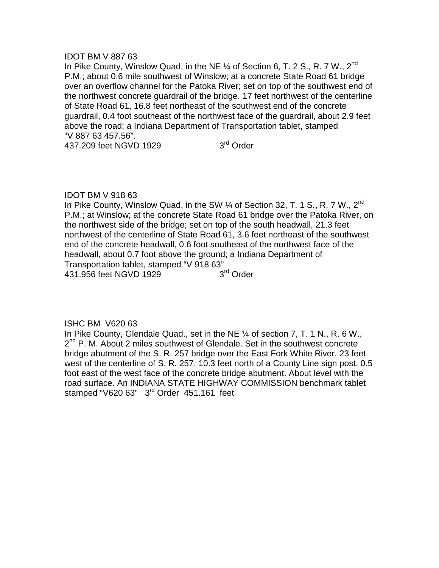## IDOT BM V 887 63

In Pike County, Winslow Quad, in the NE 1/4 of Section 6, T. 2 S., R. 7 W., 2<sup>nd</sup> P.M.; about 0.6 mile southwest of Winslow; at a concrete State Road 61 bridge over an overflow channel for the Patoka River; set on top of the southwest end of the northwest concrete guardrail of the bridge. 17 feet northwest of the centerline of State Road 61, 16.8 feet northeast of the southwest end of the concrete guardrail, 0.4 foot southeast of the northwest face of the guardrail, about 2.9 feet above the road; a Indiana Department of Transportation tablet, stamped "V 887 63 457.56".

437.209 feet NGVD 1929 3<sup>rd</sup> Order

## IDOT BM V 918 63

In Pike County, Winslow Quad, in the SW 1/4 of Section 32, T. 1 S., R. 7 W., 2<sup>nd</sup> P.M.; at Winslow; at the concrete State Road 61 bridge over the Patoka River, on the northwest side of the bridge; set on top of the south headwall, 21.3 feet northwest of the centerline of State Road 61, 3.6 feet northeast of the southwest end of the concrete headwall, 0.6 foot southeast of the northwest face of the headwall, about 0.7 foot above the ground; a Indiana Department of Transportation tablet, stamped "V 918 63" 431.956 feet NGVD 1929 3<sup>rd</sup> Order

## ISHC BM V620 63

In Pike County, Glendale Quad., set in the NE ¼ of section 7, T. 1 N., R. 6 W., 2<sup>nd</sup> P. M. About 2 miles southwest of Glendale. Set in the southwest concrete bridge abutment of the S. R. 257 bridge over the East Fork White River. 23 feet west of the centerline of S. R. 257, 10.3 feet north of a County Line sign post, 0.5 foot east of the west face of the concrete bridge abutment. About level with the road surface. An INDIANA STATE HIGHWAY COMMISSION benchmark tablet stamped "V620 63" 3<sup>rd</sup> Order 451.161 feet